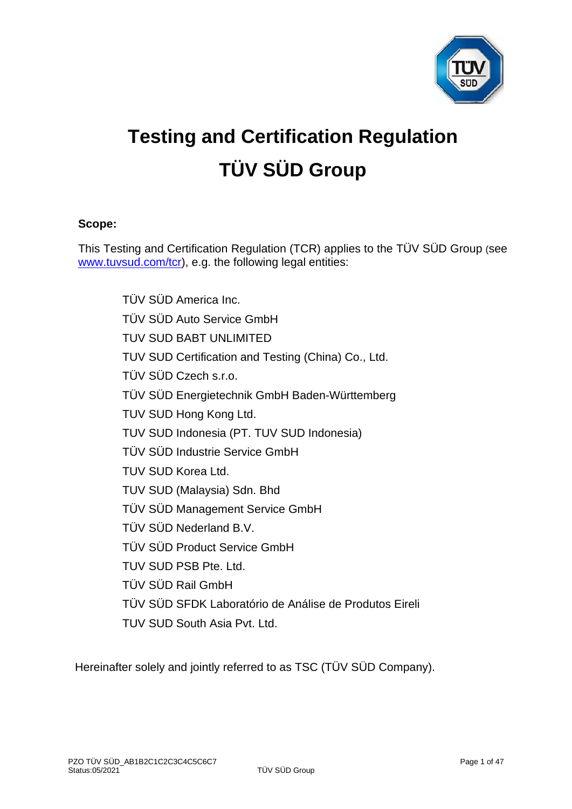

# **Testing and Certification Regulation TÜV SÜD Group**

## **Scope:**

This Testing and Certification Regulation (TCR) applies to the TÜV SÜD Group (see [www.tuvsud.com/tcr\)](http://www.tuvsud.com/tcr), e.g. the following legal entities:

> TÜV SÜD America Inc. TÜV SÜD Auto Service GmbH TUV SUD BABT UNLIMITED TUV SUD Certification and Testing (China) Co., Ltd. TÜV SÜD Czech s.r.o. TÜV SÜD Energietechnik GmbH Baden-Württemberg TUV SUD Hong Kong Ltd. TUV SUD Indonesia (PT. TUV SUD Indonesia) TÜV SÜD Industrie Service GmbH TUV SUD Korea Ltd. TUV SUD (Malaysia) Sdn. Bhd TÜV SÜD Management Service GmbH TÜV SÜD Nederland B.V. TÜV SÜD Product Service GmbH TUV SUD PSB Pte. Ltd. TÜV SÜD Rail GmbH TÜV SÜD SFDK Laboratório de Análise de Produtos Eireli TUV SUD South Asia Pvt. Ltd.

Hereinafter solely and jointly referred to as TSC (TÜV SÜD Company).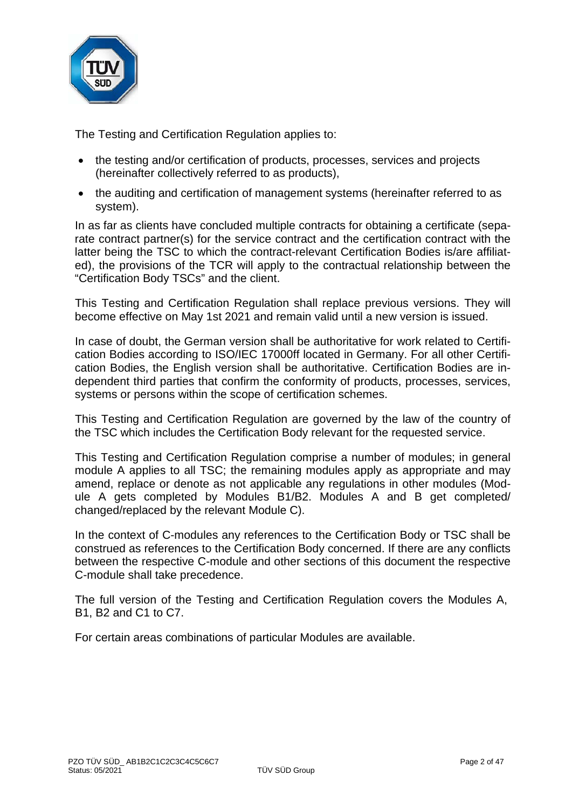

The Testing and Certification Regulation applies to:

- the testing and/or certification of products, processes, services and projects (hereinafter collectively referred to as products),
- the auditing and certification of management systems (hereinafter referred to as system).

In as far as clients have concluded multiple contracts for obtaining a certificate (separate contract partner(s) for the service contract and the certification contract with the latter being the TSC to which the contract-relevant Certification Bodies is/are affiliated), the provisions of the TCR will apply to the contractual relationship between the "Certification Body TSCs" and the client.

This Testing and Certification Regulation shall replace previous versions. They will become effective on May 1st 2021 and remain valid until a new version is issued.

In case of doubt, the German version shall be authoritative for work related to Certification Bodies according to ISO/IEC 17000ff located in Germany. For all other Certification Bodies, the English version shall be authoritative. Certification Bodies are independent third parties that confirm the conformity of products, processes, services, systems or persons within the scope of certification schemes.

This Testing and Certification Regulation are governed by the law of the country of the TSC which includes the Certification Body relevant for the requested service.

This Testing and Certification Regulation comprise a number of modules; in general module A applies to all TSC; the remaining modules apply as appropriate and may amend, replace or denote as not applicable any regulations in other modules (Module A gets completed by Modules B1/B2. Modules A and B get completed/ changed/replaced by the relevant Module C).

In the context of C-modules any references to the Certification Body or TSC shall be construed as references to the Certification Body concerned. If there are any conflicts between the respective C-module and other sections of this document the respective C-module shall take precedence.

The full version of the Testing and Certification Regulation covers the Modules A, B1, B2 and C1 to C7.

For certain areas combinations of particular Modules are available.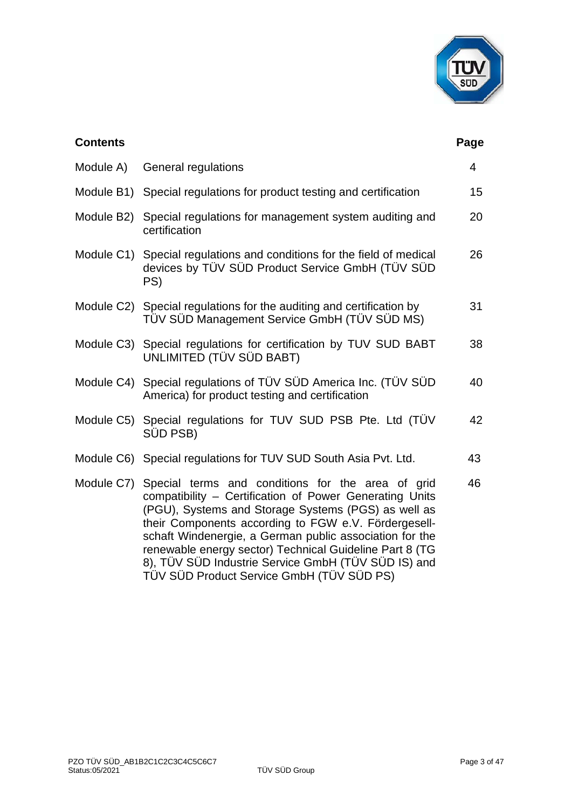

| <b>Contents</b> |                                                                                                                                                                                                                                                                                                                                                                                                                                                                  | Page           |
|-----------------|------------------------------------------------------------------------------------------------------------------------------------------------------------------------------------------------------------------------------------------------------------------------------------------------------------------------------------------------------------------------------------------------------------------------------------------------------------------|----------------|
| Module A)       | General regulations                                                                                                                                                                                                                                                                                                                                                                                                                                              | $\overline{4}$ |
|                 | Module B1) Special regulations for product testing and certification                                                                                                                                                                                                                                                                                                                                                                                             | 15             |
|                 | Module B2) Special regulations for management system auditing and<br>certification                                                                                                                                                                                                                                                                                                                                                                               | 20             |
|                 | Module C1) Special regulations and conditions for the field of medical<br>devices by TÜV SÜD Product Service GmbH (TÜV SÜD<br>PS)                                                                                                                                                                                                                                                                                                                                | 26             |
|                 | Module C2) Special regulations for the auditing and certification by<br>TÜV SÜD Management Service GmbH (TÜV SÜD MS)                                                                                                                                                                                                                                                                                                                                             | 31             |
|                 | Module C3) Special regulations for certification by TUV SUD BABT<br><b>UNLIMITED (TÜV SÜD BABT)</b>                                                                                                                                                                                                                                                                                                                                                              | 38             |
|                 | Module C4) Special regulations of TÜV SÜD America Inc. (TÜV SÜD<br>America) for product testing and certification                                                                                                                                                                                                                                                                                                                                                | 40             |
|                 | Module C5) Special regulations for TUV SUD PSB Pte. Ltd (TÜV<br>SÜD PSB)                                                                                                                                                                                                                                                                                                                                                                                         | 42             |
|                 | Module C6) Special regulations for TUV SUD South Asia Pvt. Ltd.                                                                                                                                                                                                                                                                                                                                                                                                  | 43             |
|                 | Module C7) Special terms and conditions for the area of grid<br>compatibility - Certification of Power Generating Units<br>(PGU), Systems and Storage Systems (PGS) as well as<br>their Components according to FGW e.V. Fördergesell-<br>schaft Windenergie, a German public association for the<br>renewable energy sector) Technical Guideline Part 8 (TG<br>8), TÜV SÜD Industrie Service GmbH (TÜV SÜD IS) and<br>TÜV SÜD Product Service GmbH (TÜV SÜD PS) | 46             |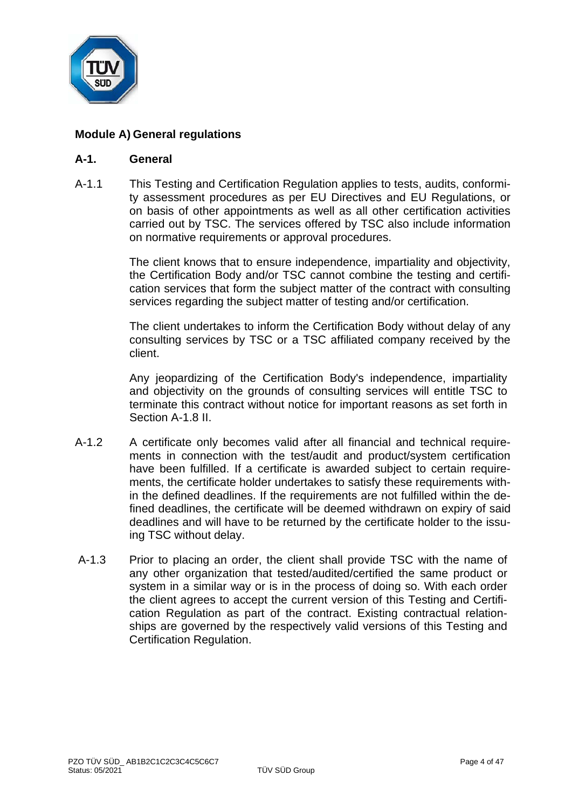

# **Module A) General regulations**

#### **A-1. General**

A-1.1 This Testing and Certification Regulation applies to tests, audits, conformity assessment procedures as per EU Directives and EU Regulations, or on basis of other appointments as well as all other certification activities carried out by TSC. The services offered by TSC also include information on normative requirements or approval procedures.

> The client knows that to ensure independence, impartiality and objectivity, the Certification Body and/or TSC cannot combine the testing and certification services that form the subject matter of the contract with consulting services regarding the subject matter of testing and/or certification.

> The client undertakes to inform the Certification Body without delay of any consulting services by TSC or a TSC affiliated company received by the client.

> Any jeopardizing of the Certification Body's independence, impartiality and objectivity on the grounds of consulting services will entitle TSC to terminate this contract without notice for important reasons as set forth in Section A-1.8 II.

- A-1.2 A certificate only becomes valid after all financial and technical requirements in connection with the test/audit and product/system certification have been fulfilled. If a certificate is awarded subject to certain requirements, the certificate holder undertakes to satisfy these requirements within the defined deadlines. If the requirements are not fulfilled within the defined deadlines, the certificate will be deemed withdrawn on expiry of said deadlines and will have to be returned by the certificate holder to the issuing TSC without delay.
- A-1.3 Prior to placing an order, the client shall provide TSC with the name of any other organization that tested/audited/certified the same product or system in a similar way or is in the process of doing so. With each order the client agrees to accept the current version of this Testing and Certification Regulation as part of the contract. Existing contractual relationships are governed by the respectively valid versions of this Testing and Certification Regulation.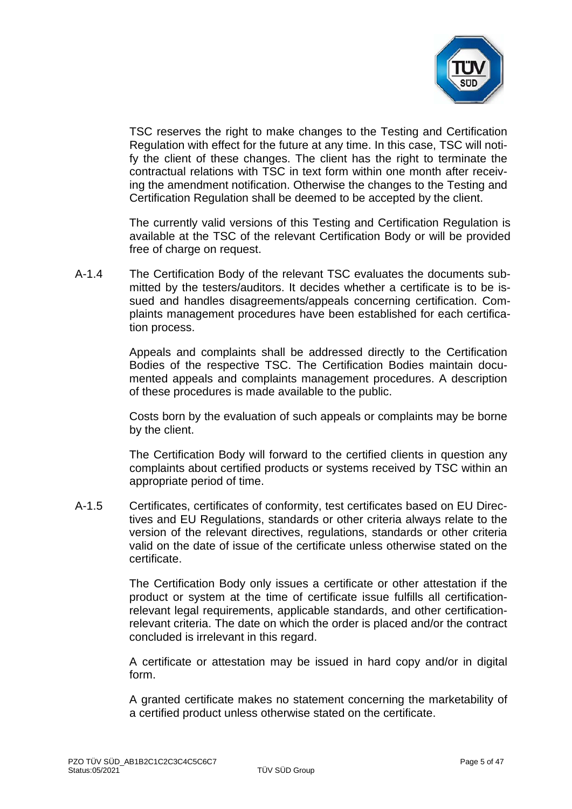

TSC reserves the right to make changes to the Testing and Certification Regulation with effect for the future at any time. In this case, TSC will notify the client of these changes. The client has the right to terminate the contractual relations with TSC in text form within one month after receiving the amendment notification. Otherwise the changes to the Testing and Certification Regulation shall be deemed to be accepted by the client.

The currently valid versions of this Testing and Certification Regulation is available at the TSC of the relevant Certification Body or will be provided free of charge on request.

A-1.4 The Certification Body of the relevant TSC evaluates the documents submitted by the testers/auditors. It decides whether a certificate is to be issued and handles disagreements/appeals concerning certification. Complaints management procedures have been established for each certification process.

> Appeals and complaints shall be addressed directly to the Certification Bodies of the respective TSC. The Certification Bodies maintain documented appeals and complaints management procedures. A description of these procedures is made available to the public.

> Costs born by the evaluation of such appeals or complaints may be borne by the client.

> The Certification Body will forward to the certified clients in question any complaints about certified products or systems received by TSC within an appropriate period of time.

A-1.5 Certificates, certificates of conformity, test certificates based on EU Directives and EU Regulations, standards or other criteria always relate to the version of the relevant directives, regulations, standards or other criteria valid on the date of issue of the certificate unless otherwise stated on the certificate.

> The Certification Body only issues a certificate or other attestation if the product or system at the time of certificate issue fulfills all certificationrelevant legal requirements, applicable standards, and other certificationrelevant criteria. The date on which the order is placed and/or the contract concluded is irrelevant in this regard.

> A certificate or attestation may be issued in hard copy and/or in digital form.

> A granted certificate makes no statement concerning the marketability of a certified product unless otherwise stated on the certificate.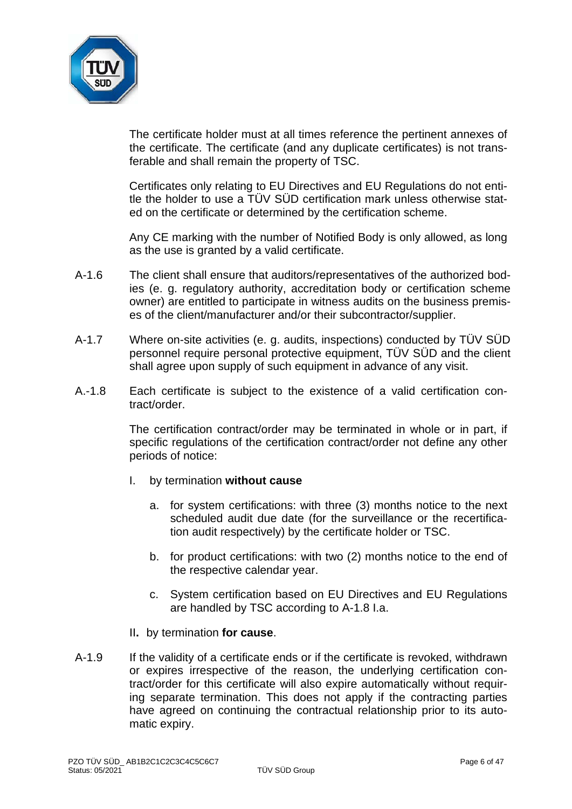

The certificate holder must at all times reference the pertinent annexes of the certificate. The certificate (and any duplicate certificates) is not transferable and shall remain the property of TSC.

Certificates only relating to EU Directives and EU Regulations do not entitle the holder to use a TÜV SÜD certification mark unless otherwise stated on the certificate or determined by the certification scheme.

Any CE marking with the number of Notified Body is only allowed, as long as the use is granted by a valid certificate.

- A-1.6 The client shall ensure that auditors/representatives of the authorized bodies (e. g. regulatory authority, accreditation body or certification scheme owner) are entitled to participate in witness audits on the business premises of the client/manufacturer and/or their subcontractor/supplier.
- A-1.7 Where on-site activities (e. g. audits, inspections) conducted by TÜV SÜD personnel require personal protective equipment, TÜV SÜD and the client shall agree upon supply of such equipment in advance of any visit.
- A.-1.8 Each certificate is subject to the existence of a valid certification contract/order.

The certification contract/order may be terminated in whole or in part, if specific regulations of the certification contract/order not define any other periods of notice:

- I. by termination **without cause**
	- a. for system certifications: with three (3) months notice to the next scheduled audit due date (for the surveillance or the recertification audit respectively) by the certificate holder or TSC.
	- b. for product certifications: with two (2) months notice to the end of the respective calendar year.
	- c. System certification based on EU Directives and EU Regulations are handled by TSC according to A-1.8 I.a.
- II**.** by termination **for cause**.
- A-1.9 If the validity of a certificate ends or if the certificate is revoked, withdrawn or expires irrespective of the reason, the underlying certification contract/order for this certificate will also expire automatically without requiring separate termination. This does not apply if the contracting parties have agreed on continuing the contractual relationship prior to its automatic expiry.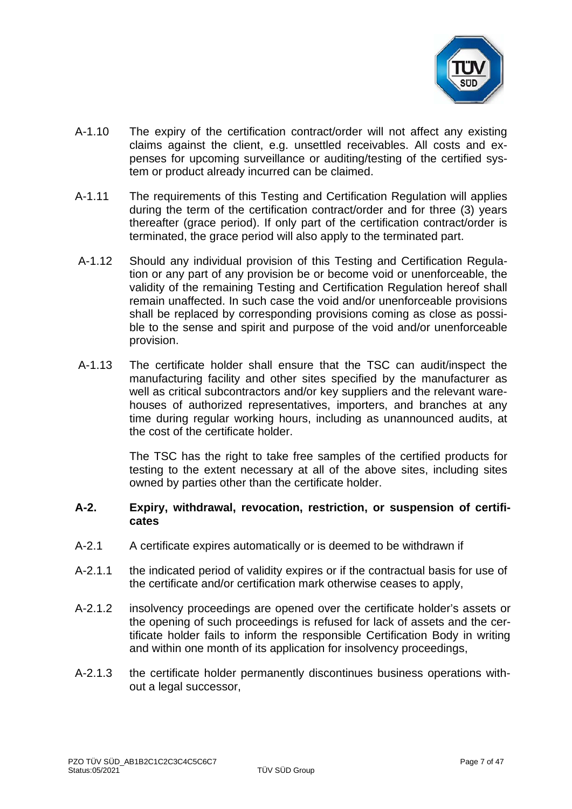

- A-1.10 The expiry of the certification contract/order will not affect any existing claims against the client, e.g. unsettled receivables. All costs and expenses for upcoming surveillance or auditing/testing of the certified system or product already incurred can be claimed.
- A-1.11 The requirements of this Testing and Certification Regulation will applies during the term of the certification contract/order and for three (3) years thereafter (grace period). If only part of the certification contract/order is terminated, the grace period will also apply to the terminated part.
- A-1.12 Should any individual provision of this Testing and Certification Regulation or any part of any provision be or become void or unenforceable, the validity of the remaining Testing and Certification Regulation hereof shall remain unaffected. In such case the void and/or unenforceable provisions shall be replaced by corresponding provisions coming as close as possible to the sense and spirit and purpose of the void and/or unenforceable provision.
- A-1.13 The certificate holder shall ensure that the TSC can audit/inspect the manufacturing facility and other sites specified by the manufacturer as well as critical subcontractors and/or key suppliers and the relevant warehouses of authorized representatives, importers, and branches at any time during regular working hours, including as unannounced audits, at the cost of the certificate holder.

The TSC has the right to take free samples of the certified products for testing to the extent necessary at all of the above sites, including sites owned by parties other than the certificate holder.

#### **A-2. Expiry, withdrawal, revocation, restriction, or suspension of certificates**

- A-2.1 A certificate expires automatically or is deemed to be withdrawn if
- A-2.1.1 the indicated period of validity expires or if the contractual basis for use of the certificate and/or certification mark otherwise ceases to apply,
- A-2.1.2 insolvency proceedings are opened over the certificate holder's assets or the opening of such proceedings is refused for lack of assets and the certificate holder fails to inform the responsible Certification Body in writing and within one month of its application for insolvency proceedings,
- A-2.1.3 the certificate holder permanently discontinues business operations without a legal successor,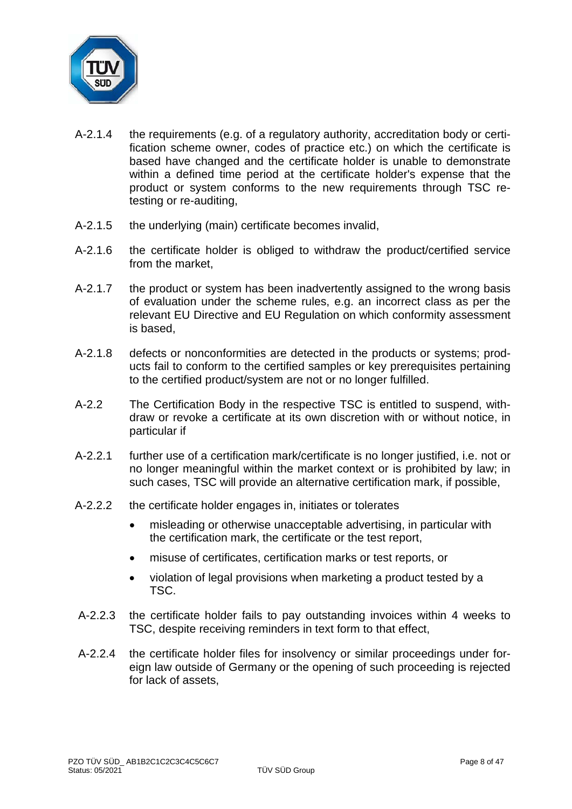

- A-2.1.4 the requirements (e.g. of a regulatory authority, accreditation body or certification scheme owner, codes of practice etc.) on which the certificate is based have changed and the certificate holder is unable to demonstrate within a defined time period at the certificate holder's expense that the product or system conforms to the new requirements through TSC retesting or re-auditing,
- A-2.1.5 the underlying (main) certificate becomes invalid,
- A-2.1.6 the certificate holder is obliged to withdraw the product/certified service from the market,
- A-2.1.7 the product or system has been inadvertently assigned to the wrong basis of evaluation under the scheme rules, e.g. an incorrect class as per the relevant EU Directive and EU Regulation on which conformity assessment is based,
- A-2.1.8 defects or nonconformities are detected in the products or systems; products fail to conform to the certified samples or key prerequisites pertaining to the certified product/system are not or no longer fulfilled.
- A-2.2 The Certification Body in the respective TSC is entitled to suspend, withdraw or revoke a certificate at its own discretion with or without notice, in particular if
- A-2.2.1 further use of a certification mark/certificate is no longer justified, i.e. not or no longer meaningful within the market context or is prohibited by law; in such cases, TSC will provide an alternative certification mark, if possible,
- A-2.2.2 the certificate holder engages in, initiates or tolerates
	- misleading or otherwise unacceptable advertising, in particular with the certification mark, the certificate or the test report,
	- misuse of certificates, certification marks or test reports, or
	- violation of legal provisions when marketing a product tested by a TSC.
- A-2.2.3 the certificate holder fails to pay outstanding invoices within 4 weeks to TSC, despite receiving reminders in text form to that effect,
- A-2.2.4 the certificate holder files for insolvency or similar proceedings under foreign law outside of Germany or the opening of such proceeding is rejected for lack of assets,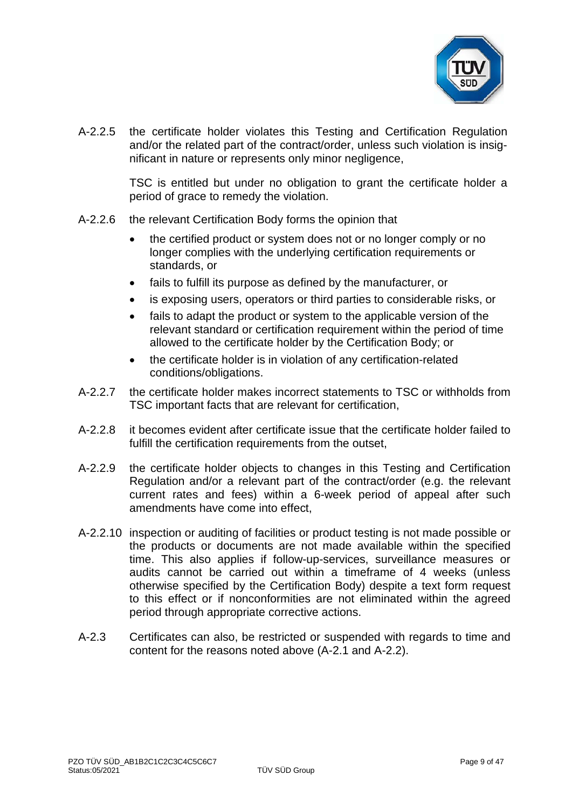

A-2.2.5 the certificate holder violates this Testing and Certification Regulation and/or the related part of the contract/order, unless such violation is insignificant in nature or represents only minor negligence,

> TSC is entitled but under no obligation to grant the certificate holder a period of grace to remedy the violation.

- A-2.2.6 the relevant Certification Body forms the opinion that
	- the certified product or system does not or no longer comply or no longer complies with the underlying certification requirements or standards, or
	- fails to fulfill its purpose as defined by the manufacturer, or
	- is exposing users, operators or third parties to considerable risks, or
	- fails to adapt the product or system to the applicable version of the relevant standard or certification requirement within the period of time allowed to the certificate holder by the Certification Body; or
	- the certificate holder is in violation of any certification-related conditions/obligations.
- A-2.2.7 the certificate holder makes incorrect statements to TSC or withholds from TSC important facts that are relevant for certification,
- A-2.2.8 it becomes evident after certificate issue that the certificate holder failed to fulfill the certification requirements from the outset,
- A-2.2.9 the certificate holder objects to changes in this Testing and Certification Regulation and/or a relevant part of the contract/order (e.g. the relevant current rates and fees) within a 6-week period of appeal after such amendments have come into effect,
- A-2.2.10 inspection or auditing of facilities or product testing is not made possible or the products or documents are not made available within the specified time. This also applies if follow-up-services, surveillance measures or audits cannot be carried out within a timeframe of 4 weeks (unless otherwise specified by the Certification Body) despite a text form request to this effect or if nonconformities are not eliminated within the agreed period through appropriate corrective actions.
- A-2.3 Certificates can also, be restricted or suspended with regards to time and content for the reasons noted above (A-2.1 and A-2.2).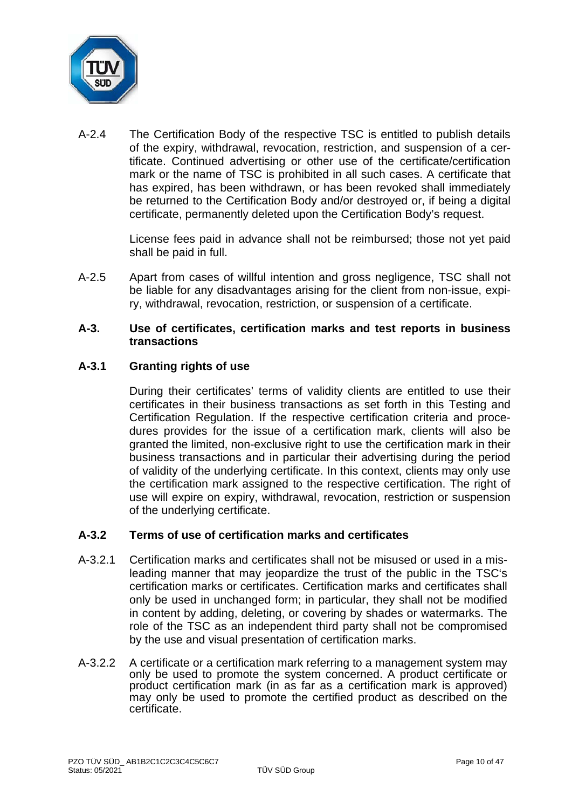

A-2.4 The Certification Body of the respective TSC is entitled to publish details of the expiry, withdrawal, revocation, restriction, and suspension of a certificate. Continued advertising or other use of the certificate/certification mark or the name of TSC is prohibited in all such cases. A certificate that has expired, has been withdrawn, or has been revoked shall immediately be returned to the Certification Body and/or destroyed or, if being a digital certificate, permanently deleted upon the Certification Body's request.

> License fees paid in advance shall not be reimbursed; those not yet paid shall be paid in full.

A-2.5 Apart from cases of willful intention and gross negligence, TSC shall not be liable for any disadvantages arising for the client from non-issue, expiry, withdrawal, revocation, restriction, or suspension of a certificate.

#### **A-3. Use of certificates, certification marks and test reports in business transactions**

## **A-3.1 Granting rights of use**

During their certificates' terms of validity clients are entitled to use their certificates in their business transactions as set forth in this Testing and Certification Regulation. If the respective certification criteria and procedures provides for the issue of a certification mark, clients will also be granted the limited, non-exclusive right to use the certification mark in their business transactions and in particular their advertising during the period of validity of the underlying certificate. In this context, clients may only use the certification mark assigned to the respective certification. The right of use will expire on expiry, withdrawal, revocation, restriction or suspension of the underlying certificate.

## **A-3.2 Terms of use of certification marks and certificates**

- A-3.2.1 Certification marks and certificates shall not be misused or used in a misleading manner that may jeopardize the trust of the public in the TSC's certification marks or certificates. Certification marks and certificates shall only be used in unchanged form; in particular, they shall not be modified in content by adding, deleting, or covering by shades or watermarks. The role of the TSC as an independent third party shall not be compromised by the use and visual presentation of certification marks.
- A-3.2.2 A certificate or a certification mark referring to a management system may only be used to promote the system concerned. A product certificate or product certification mark (in as far as a certification mark is approved) may only be used to promote the certified product as described on the certificate.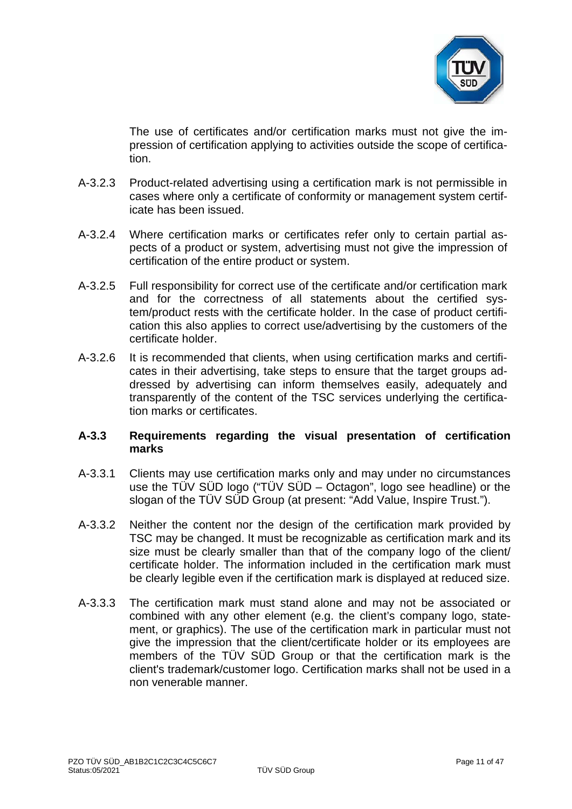

The use of certificates and/or certification marks must not give the impression of certification applying to activities outside the scope of certification.

- A-3.2.3 Product-related advertising using a certification mark is not permissible in cases where only a certificate of conformity or management system certificate has been issued.
- A-3.2.4 Where certification marks or certificates refer only to certain partial aspects of a product or system, advertising must not give the impression of certification of the entire product or system.
- A-3.2.5 Full responsibility for correct use of the certificate and/or certification mark and for the correctness of all statements about the certified system/product rests with the certificate holder. In the case of product certification this also applies to correct use/advertising by the customers of the certificate holder.
- A-3.2.6 It is recommended that clients, when using certification marks and certificates in their advertising, take steps to ensure that the target groups addressed by advertising can inform themselves easily, adequately and transparently of the content of the TSC services underlying the certification marks or certificates.

## **A-3.3 Requirements regarding the visual presentation of certification marks**

- A-3.3.1 Clients may use certification marks only and may under no circumstances use the TÜV SÜD logo ("TÜV SÜD – Octagon", logo see headline) or the slogan of the TÜV SÜD Group (at present: "Add Value, Inspire Trust.").
- A-3.3.2 Neither the content nor the design of the certification mark provided by TSC may be changed. It must be recognizable as certification mark and its size must be clearly smaller than that of the company logo of the client/ certificate holder. The information included in the certification mark must be clearly legible even if the certification mark is displayed at reduced size.
- A-3.3.3 The certification mark must stand alone and may not be associated or combined with any other element (e.g. the client's company logo, statement, or graphics). The use of the certification mark in particular must not give the impression that the client/certificate holder or its employees are members of the TÜV SÜD Group or that the certification mark is the client's trademark/customer logo. Certification marks shall not be used in a non venerable manner.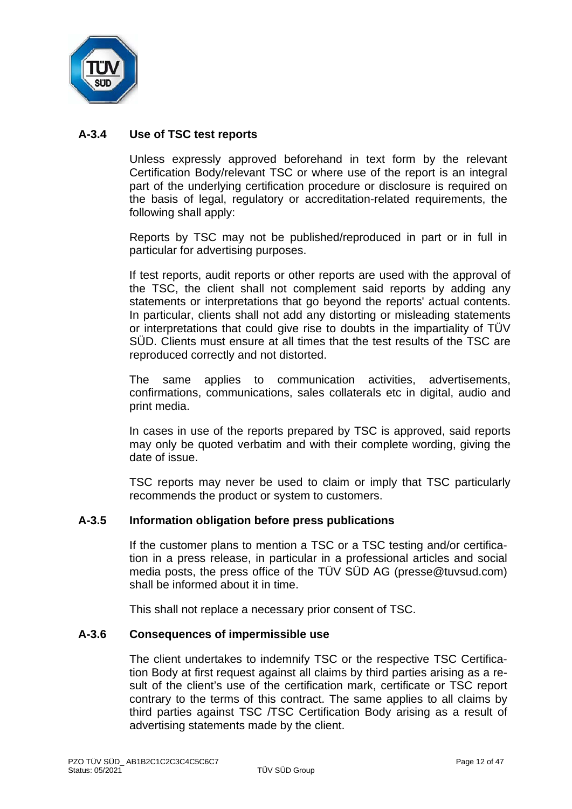

## **A-3.4 Use of TSC test reports**

Unless expressly approved beforehand in text form by the relevant Certification Body/relevant TSC or where use of the report is an integral part of the underlying certification procedure or disclosure is required on the basis of legal, regulatory or accreditation-related requirements, the following shall apply:

Reports by TSC may not be published/reproduced in part or in full in particular for advertising purposes.

If test reports, audit reports or other reports are used with the approval of the TSC, the client shall not complement said reports by adding any statements or interpretations that go beyond the reports' actual contents. In particular, clients shall not add any distorting or misleading statements or interpretations that could give rise to doubts in the impartiality of TÜV SÜD. Clients must ensure at all times that the test results of the TSC are reproduced correctly and not distorted.

The same applies to communication activities, advertisements, confirmations, communications, sales collaterals etc in digital, audio and print media.

In cases in use of the reports prepared by TSC is approved, said reports may only be quoted verbatim and with their complete wording, giving the date of issue.

TSC reports may never be used to claim or imply that TSC particularly recommends the product or system to customers.

#### **A-3.5 Information obligation before press publications**

If the customer plans to mention a TSC or a TSC testing and/or certification in a press release, in particular in a professional articles and social media posts, the press office of the TÜV SÜD AG (presse@tuvsud.com) shall be informed about it in time.

This shall not replace a necessary prior consent of TSC.

#### **A-3.6 Consequences of impermissible use**

The client undertakes to indemnify TSC or the respective TSC Certification Body at first request against all claims by third parties arising as a result of the client's use of the certification mark, certificate or TSC report contrary to the terms of this contract. The same applies to all claims by third parties against TSC /TSC Certification Body arising as a result of advertising statements made by the client.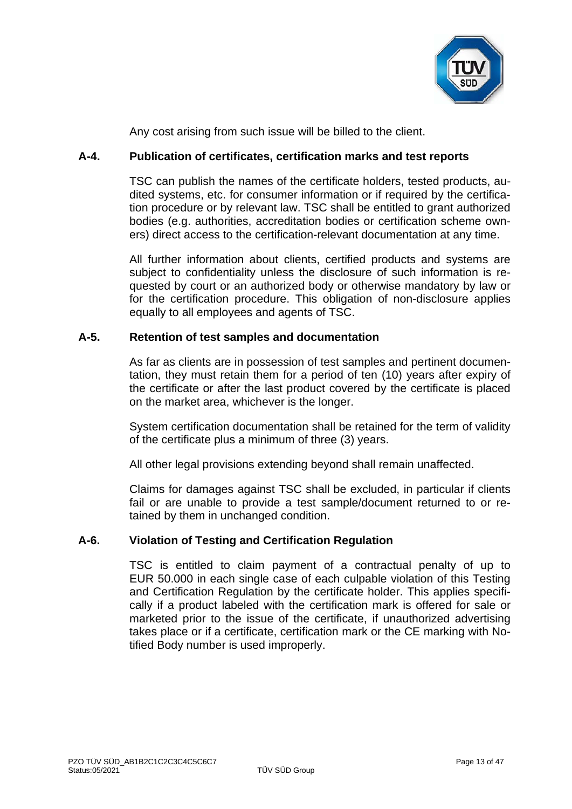

Any cost arising from such issue will be billed to the client.

## **A-4. Publication of certificates, certification marks and test reports**

TSC can publish the names of the certificate holders, tested products, audited systems, etc. for consumer information or if required by the certification procedure or by relevant law. TSC shall be entitled to grant authorized bodies (e.g. authorities, accreditation bodies or certification scheme owners) direct access to the certification-relevant documentation at any time.

All further information about clients, certified products and systems are subject to confidentiality unless the disclosure of such information is requested by court or an authorized body or otherwise mandatory by law or for the certification procedure. This obligation of non-disclosure applies equally to all employees and agents of TSC.

#### **A-5. Retention of test samples and documentation**

As far as clients are in possession of test samples and pertinent documentation, they must retain them for a period of ten (10) years after expiry of the certificate or after the last product covered by the certificate is placed on the market area, whichever is the longer.

System certification documentation shall be retained for the term of validity of the certificate plus a minimum of three (3) years.

All other legal provisions extending beyond shall remain unaffected.

Claims for damages against TSC shall be excluded, in particular if clients fail or are unable to provide a test sample/document returned to or retained by them in unchanged condition.

#### **A-6. Violation of Testing and Certification Regulation**

TSC is entitled to claim payment of a contractual penalty of up to EUR 50.000 in each single case of each culpable violation of this Testing and Certification Regulation by the certificate holder. This applies specifically if a product labeled with the certification mark is offered for sale or marketed prior to the issue of the certificate, if unauthorized advertising takes place or if a certificate, certification mark or the CE marking with Notified Body number is used improperly.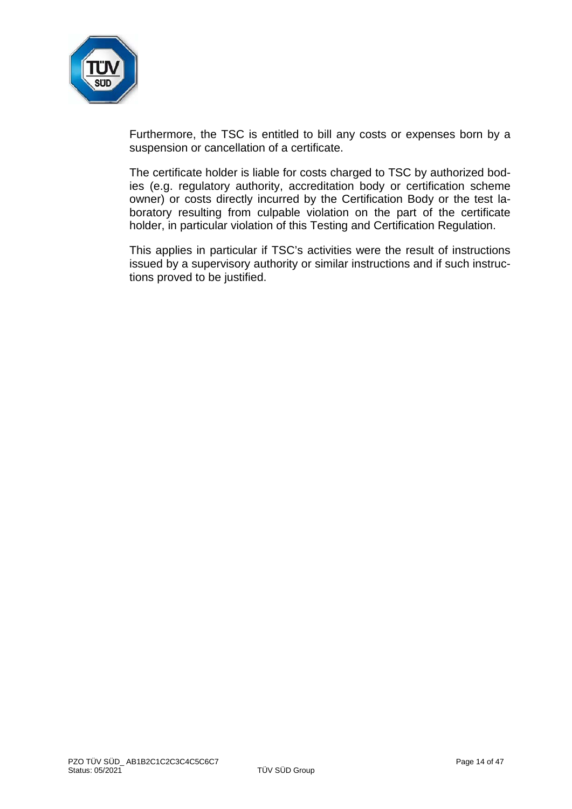

Furthermore, the TSC is entitled to bill any costs or expenses born by a suspension or cancellation of a certificate.

The certificate holder is liable for costs charged to TSC by authorized bodies (e.g. regulatory authority, accreditation body or certification scheme owner) or costs directly incurred by the Certification Body or the test laboratory resulting from culpable violation on the part of the certificate holder, in particular violation of this Testing and Certification Regulation.

This applies in particular if TSC's activities were the result of instructions issued by a supervisory authority or similar instructions and if such instructions proved to be justified.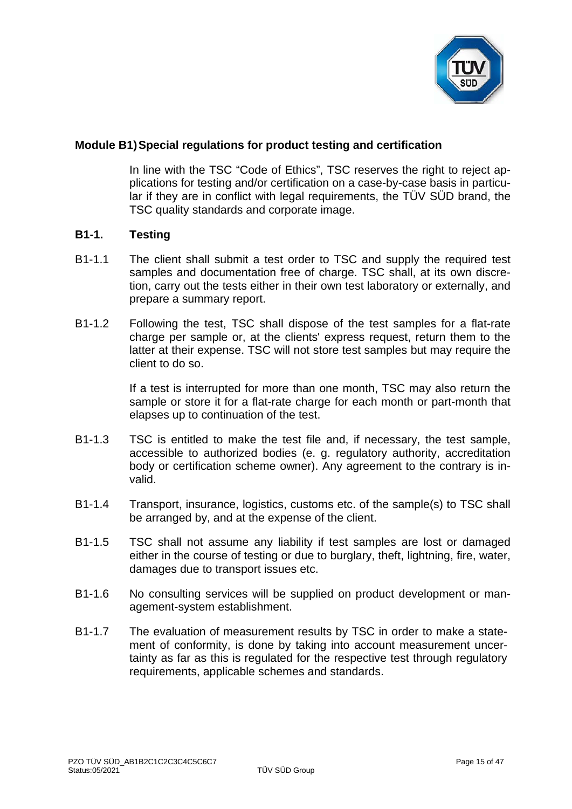

## **Module B1)Special regulations for product testing and certification**

In line with the TSC "Code of Ethics", TSC reserves the right to reject applications for testing and/or certification on a case-by-case basis in particular if they are in conflict with legal requirements, the TÜV SÜD brand, the TSC quality standards and corporate image.

#### **B1-1. Testing**

- B1-1.1 The client shall submit a test order to TSC and supply the required test samples and documentation free of charge. TSC shall, at its own discretion, carry out the tests either in their own test laboratory or externally, and prepare a summary report.
- B1-1.2 Following the test, TSC shall dispose of the test samples for a flat-rate charge per sample or, at the clients' express request, return them to the latter at their expense. TSC will not store test samples but may require the client to do so.

If a test is interrupted for more than one month, TSC may also return the sample or store it for a flat-rate charge for each month or part-month that elapses up to continuation of the test.

- B1-1.3 TSC is entitled to make the test file and, if necessary, the test sample, accessible to authorized bodies (e. g. regulatory authority, accreditation body or certification scheme owner). Any agreement to the contrary is invalid.
- B1-1.4 Transport, insurance, logistics, customs etc. of the sample(s) to TSC shall be arranged by, and at the expense of the client.
- B1-1.5 TSC shall not assume any liability if test samples are lost or damaged either in the course of testing or due to burglary, theft, lightning, fire, water, damages due to transport issues etc.
- B1-1.6 No consulting services will be supplied on product development or management-system establishment.
- B1-1.7 The evaluation of measurement results by TSC in order to make a statement of conformity, is done by taking into account measurement uncertainty as far as this is regulated for the respective test through regulatory requirements, applicable schemes and standards.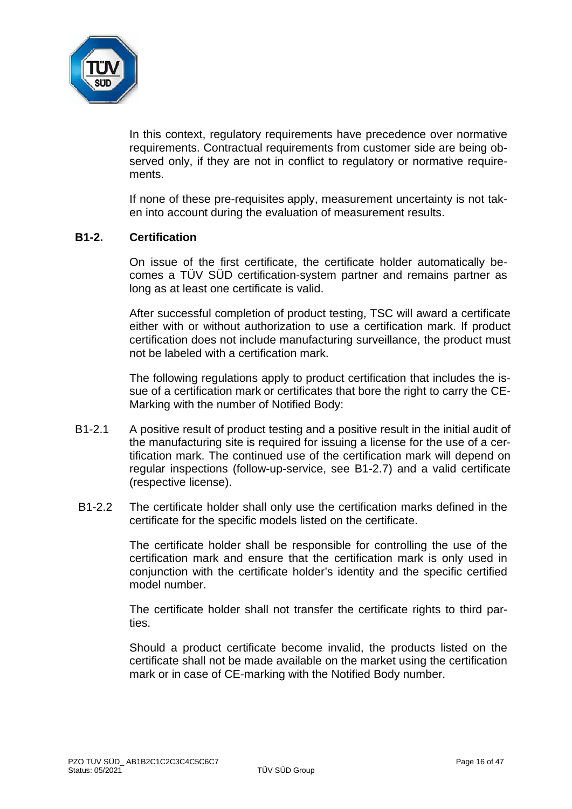

In this context, regulatory requirements have precedence over normative requirements. Contractual requirements from customer side are being observed only, if they are not in conflict to regulatory or normative requirements.

If none of these pre-requisites apply, measurement uncertainty is not taken into account during the evaluation of measurement results.

## **B1-2. Certification**

On issue of the first certificate, the certificate holder automatically becomes a TÜV SÜD certification-system partner and remains partner as long as at least one certificate is valid.

After successful completion of product testing, TSC will award a certificate either with or without authorization to use a certification mark. If product certification does not include manufacturing surveillance, the product must not be labeled with a certification mark.

The following regulations apply to product certification that includes the issue of a certification mark or certificates that bore the right to carry the CE-Marking with the number of Notified Body:

- B1-2.1 A positive result of product testing and a positive result in the initial audit of the manufacturing site is required for issuing a license for the use of a certification mark. The continued use of the certification mark will depend on regular inspections (follow-up-service, see B1-2.7) and a valid certificate (respective license).
- B1-2.2 The certificate holder shall only use the certification marks defined in the certificate for the specific models listed on the certificate.

The certificate holder shall be responsible for controlling the use of the certification mark and ensure that the certification mark is only used in conjunction with the certificate holder's identity and the specific certified model number.

The certificate holder shall not transfer the certificate rights to third parties.

Should a product certificate become invalid, the products listed on the certificate shall not be made available on the market using the certification mark or in case of CE-marking with the Notified Body number.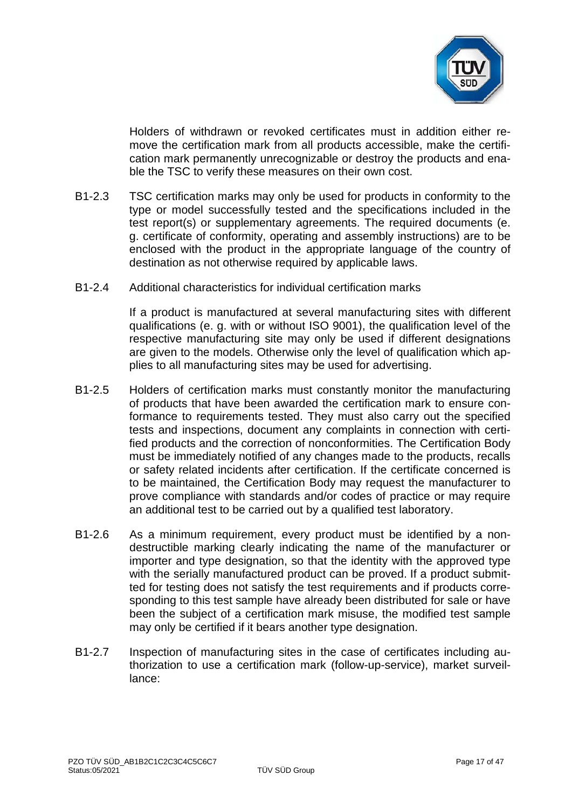

Holders of withdrawn or revoked certificates must in addition either remove the certification mark from all products accessible, make the certification mark permanently unrecognizable or destroy the products and enable the TSC to verify these measures on their own cost.

- B1-2.3 TSC certification marks may only be used for products in conformity to the type or model successfully tested and the specifications included in the test report(s) or supplementary agreements. The required documents (e. g. certificate of conformity, operating and assembly instructions) are to be enclosed with the product in the appropriate language of the country of destination as not otherwise required by applicable laws.
- B1-2.4 Additional characteristics for individual certification marks

If a product is manufactured at several manufacturing sites with different qualifications (e. g. with or without ISO 9001), the qualification level of the respective manufacturing site may only be used if different designations are given to the models. Otherwise only the level of qualification which applies to all manufacturing sites may be used for advertising.

- B1-2.5 Holders of certification marks must constantly monitor the manufacturing of products that have been awarded the certification mark to ensure conformance to requirements tested. They must also carry out the specified tests and inspections, document any complaints in connection with certified products and the correction of nonconformities. The Certification Body must be immediately notified of any changes made to the products, recalls or safety related incidents after certification. If the certificate concerned is to be maintained, the Certification Body may request the manufacturer to prove compliance with standards and/or codes of practice or may require an additional test to be carried out by a qualified test laboratory.
- B1-2.6 As a minimum requirement, every product must be identified by a nondestructible marking clearly indicating the name of the manufacturer or importer and type designation, so that the identity with the approved type with the serially manufactured product can be proved. If a product submitted for testing does not satisfy the test requirements and if products corresponding to this test sample have already been distributed for sale or have been the subject of a certification mark misuse, the modified test sample may only be certified if it bears another type designation.
- B1-2.7 Inspection of manufacturing sites in the case of certificates including authorization to use a certification mark (follow-up-service), market surveillance: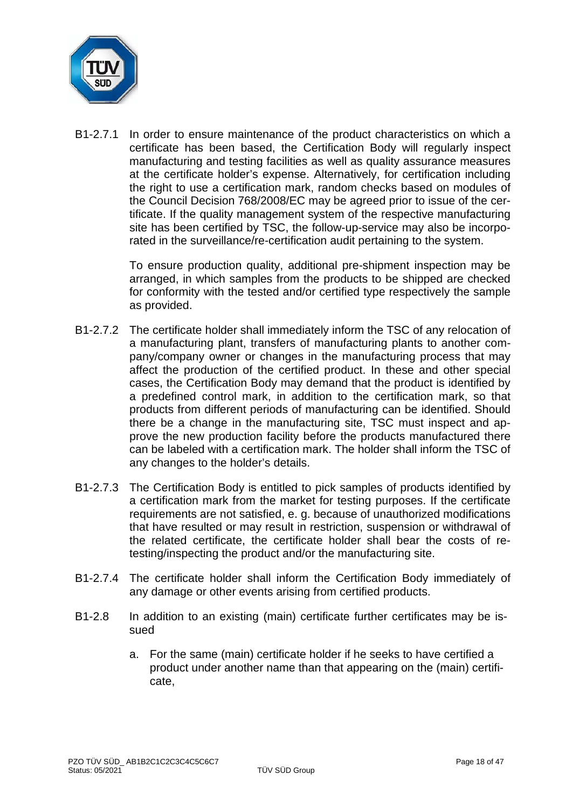

B1-2.7.1 In order to ensure maintenance of the product characteristics on which a certificate has been based, the Certification Body will regularly inspect manufacturing and testing facilities as well as quality assurance measures at the certificate holder's expense. Alternatively, for certification including the right to use a certification mark, random checks based on modules of the Council Decision 768/2008/EC may be agreed prior to issue of the certificate. If the quality management system of the respective manufacturing site has been certified by TSC, the follow-up-service may also be incorporated in the surveillance/re-certification audit pertaining to the system.

> To ensure production quality, additional pre-shipment inspection may be arranged, in which samples from the products to be shipped are checked for conformity with the tested and/or certified type respectively the sample as provided.

- B1-2.7.2 The certificate holder shall immediately inform the TSC of any relocation of a manufacturing plant, transfers of manufacturing plants to another company/company owner or changes in the manufacturing process that may affect the production of the certified product. In these and other special cases, the Certification Body may demand that the product is identified by a predefined control mark, in addition to the certification mark, so that products from different periods of manufacturing can be identified. Should there be a change in the manufacturing site, TSC must inspect and approve the new production facility before the products manufactured there can be labeled with a certification mark. The holder shall inform the TSC of any changes to the holder's details.
- B1-2.7.3 The Certification Body is entitled to pick samples of products identified by a certification mark from the market for testing purposes. If the certificate requirements are not satisfied, e. g. because of unauthorized modifications that have resulted or may result in restriction, suspension or withdrawal of the related certificate, the certificate holder shall bear the costs of retesting/inspecting the product and/or the manufacturing site.
- B1-2.7.4 The certificate holder shall inform the Certification Body immediately of any damage or other events arising from certified products.
- B1-2.8 In addition to an existing (main) certificate further certificates may be issued
	- a. For the same (main) certificate holder if he seeks to have certified a product under another name than that appearing on the (main) certificate,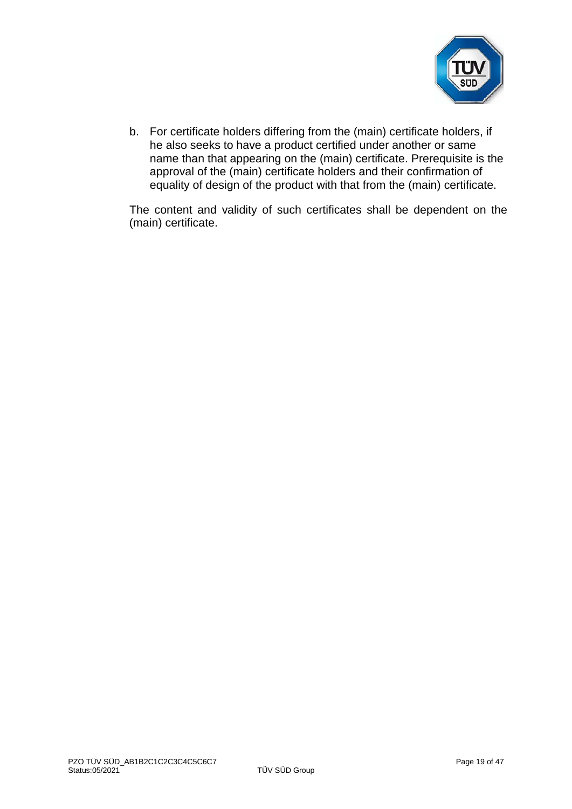

b. For certificate holders differing from the (main) certificate holders, if he also seeks to have a product certified under another or same name than that appearing on the (main) certificate. Prerequisite is the approval of the (main) certificate holders and their confirmation of equality of design of the product with that from the (main) certificate.

The content and validity of such certificates shall be dependent on the (main) certificate.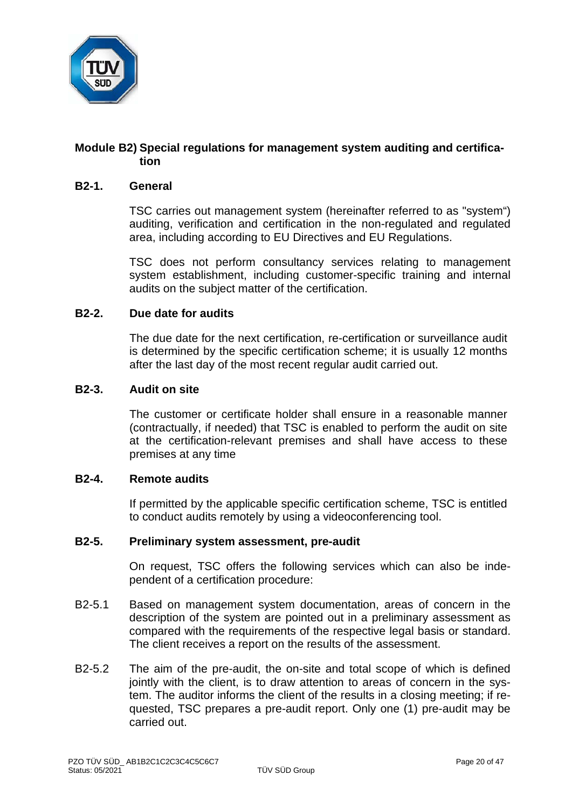

## **Module B2) Special regulations for management system auditing and certification**

#### **B2-1. General**

TSC carries out management system (hereinafter referred to as "system") auditing, verification and certification in the non-regulated and regulated area, including according to EU Directives and EU Regulations.

TSC does not perform consultancy services relating to management system establishment, including customer-specific training and internal audits on the subject matter of the certification.

#### **B2-2. Due date for audits**

The due date for the next certification, re-certification or surveillance audit is determined by the specific certification scheme; it is usually 12 months after the last day of the most recent regular audit carried out.

#### **B2-3. Audit on site**

The customer or certificate holder shall ensure in a reasonable manner (contractually, if needed) that TSC is enabled to perform the audit on site at the certification-relevant premises and shall have access to these premises at any time

#### **B2-4. Remote audits**

If permitted by the applicable specific certification scheme, TSC is entitled to conduct audits remotely by using a videoconferencing tool.

# **B2-5. Preliminary system assessment, pre-audit**

On request, TSC offers the following services which can also be independent of a certification procedure:

- B2-5.1 Based on management system documentation, areas of concern in the description of the system are pointed out in a preliminary assessment as compared with the requirements of the respective legal basis or standard. The client receives a report on the results of the assessment.
- B2-5.2 The aim of the pre-audit, the on-site and total scope of which is defined jointly with the client, is to draw attention to areas of concern in the system. The auditor informs the client of the results in a closing meeting; if requested, TSC prepares a pre-audit report. Only one (1) pre-audit may be carried out.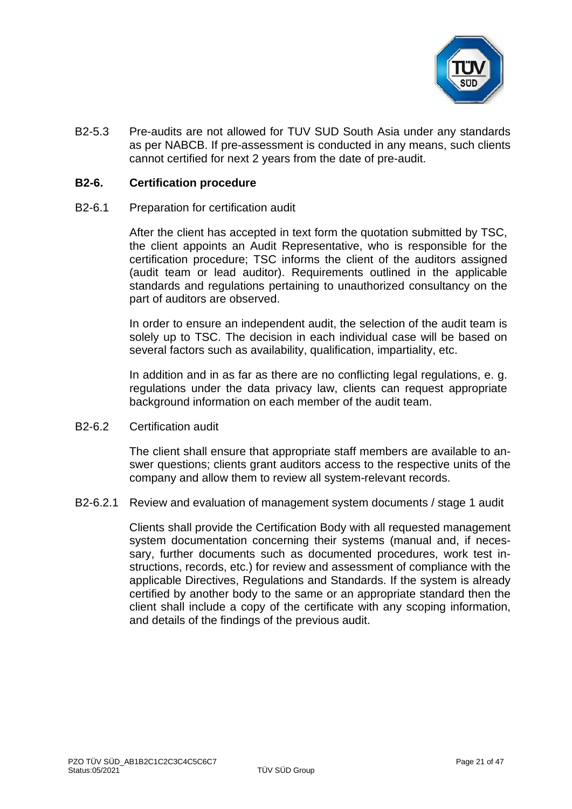

B2-5.3 Pre-audits are not allowed for TUV SUD South Asia under any standards as per NABCB. If pre-assessment is conducted in any means, such clients cannot certified for next 2 years from the date of pre-audit.

#### **B2-6. Certification procedure**

B2-6.1 Preparation for certification audit

After the client has accepted in text form the quotation submitted by TSC, the client appoints an Audit Representative, who is responsible for the certification procedure; TSC informs the client of the auditors assigned (audit team or lead auditor). Requirements outlined in the applicable standards and regulations pertaining to unauthorized consultancy on the part of auditors are observed.

In order to ensure an independent audit, the selection of the audit team is solely up to TSC. The decision in each individual case will be based on several factors such as availability, qualification, impartiality, etc.

In addition and in as far as there are no conflicting legal regulations, e. g. regulations under the data privacy law, clients can request appropriate background information on each member of the audit team.

B2-6.2 Certification audit

The client shall ensure that appropriate staff members are available to answer questions; clients grant auditors access to the respective units of the company and allow them to review all system-relevant records.

B2-6.2.1 Review and evaluation of management system documents / stage 1 audit

Clients shall provide the Certification Body with all requested management system documentation concerning their systems (manual and, if necessary, further documents such as documented procedures, work test instructions, records, etc.) for review and assessment of compliance with the applicable Directives, Regulations and Standards. If the system is already certified by another body to the same or an appropriate standard then the client shall include a copy of the certificate with any scoping information, and details of the findings of the previous audit.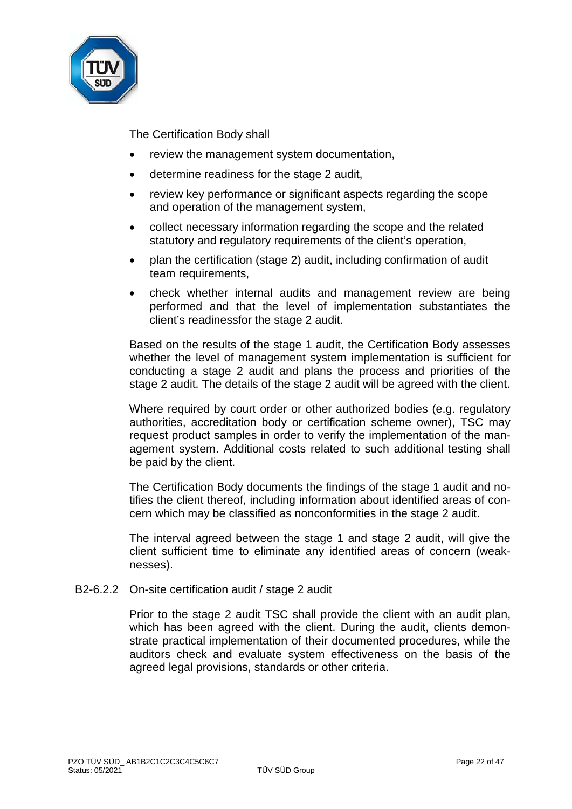

The Certification Body shall

- review the management system documentation,
- determine readiness for the stage 2 audit,
- review key performance or significant aspects regarding the scope and operation of the management system,
- collect necessary information regarding the scope and the related statutory and regulatory requirements of the client's operation,
- plan the certification (stage 2) audit, including confirmation of audit team requirements,
- check whether internal audits and management review are being performed and that the level of implementation substantiates the client's readinessfor the stage 2 audit.

Based on the results of the stage 1 audit, the Certification Body assesses whether the level of management system implementation is sufficient for conducting a stage 2 audit and plans the process and priorities of the stage 2 audit. The details of the stage 2 audit will be agreed with the client.

Where required by court order or other authorized bodies (e.g. regulatory authorities, accreditation body or certification scheme owner), TSC may request product samples in order to verify the implementation of the management system. Additional costs related to such additional testing shall be paid by the client.

The Certification Body documents the findings of the stage 1 audit and notifies the client thereof, including information about identified areas of concern which may be classified as nonconformities in the stage 2 audit.

The interval agreed between the stage 1 and stage 2 audit, will give the client sufficient time to eliminate any identified areas of concern (weaknesses).

B2-6.2.2 On-site certification audit / stage 2 audit

Prior to the stage 2 audit TSC shall provide the client with an audit plan, which has been agreed with the client. During the audit, clients demonstrate practical implementation of their documented procedures, while the auditors check and evaluate system effectiveness on the basis of the agreed legal provisions, standards or other criteria.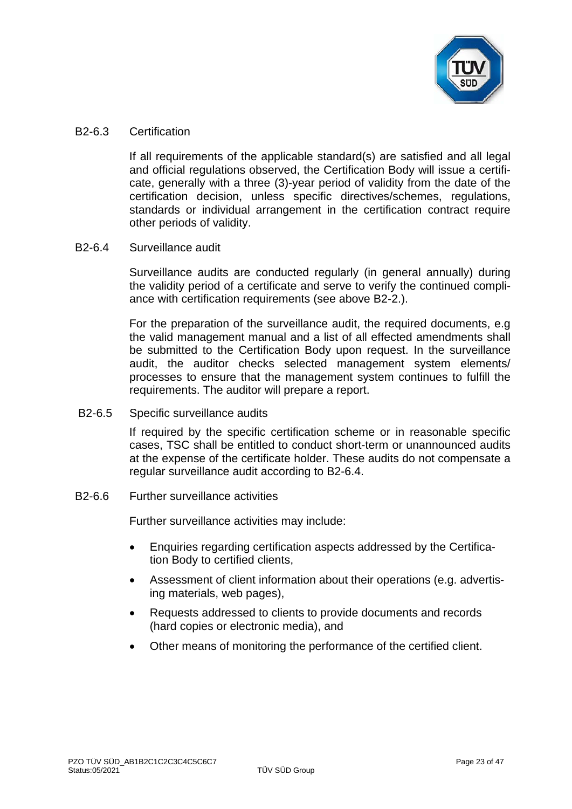

#### B2-6.3 Certification

If all requirements of the applicable standard(s) are satisfied and all legal and official regulations observed, the Certification Body will issue a certificate, generally with a three (3)-year period of validity from the date of the certification decision, unless specific directives/schemes, regulations, standards or individual arrangement in the certification contract require other periods of validity.

## B2-6.4 Surveillance audit

Surveillance audits are conducted regularly (in general annually) during the validity period of a certificate and serve to verify the continued compliance with certification requirements (see above B2-2.).

For the preparation of the surveillance audit, the required documents, e.g the valid management manual and a list of all effected amendments shall be submitted to the Certification Body upon request. In the surveillance audit, the auditor checks selected management system elements/ processes to ensure that the management system continues to fulfill the requirements. The auditor will prepare a report.

B2-6.5 Specific surveillance audits

If required by the specific certification scheme or in reasonable specific cases, TSC shall be entitled to conduct short-term or unannounced audits at the expense of the certificate holder. These audits do not compensate a regular surveillance audit according to B2-6.4.

B2-6.6 Further surveillance activities

Further surveillance activities may include:

- Enquiries regarding certification aspects addressed by the Certification Body to certified clients,
- Assessment of client information about their operations (e.g. advertising materials, web pages),
- Requests addressed to clients to provide documents and records (hard copies or electronic media), and
- Other means of monitoring the performance of the certified client.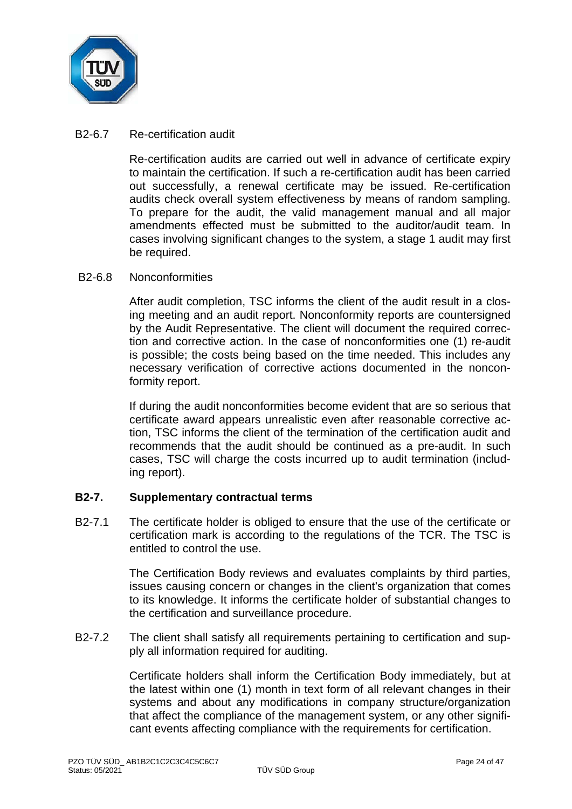

## B2-6.7 Re-certification audit

Re-certification audits are carried out well in advance of certificate expiry to maintain the certification. If such a re-certification audit has been carried out successfully, a renewal certificate may be issued. Re-certification audits check overall system effectiveness by means of random sampling. To prepare for the audit, the valid management manual and all major amendments effected must be submitted to the auditor/audit team. In cases involving significant changes to the system, a stage 1 audit may first be required.

#### B2-6.8 Nonconformities

After audit completion, TSC informs the client of the audit result in a closing meeting and an audit report. Nonconformity reports are countersigned by the Audit Representative. The client will document the required correction and corrective action. In the case of nonconformities one (1) re-audit is possible; the costs being based on the time needed. This includes any necessary verification of corrective actions documented in the nonconformity report.

If during the audit nonconformities become evident that are so serious that certificate award appears unrealistic even after reasonable corrective action, TSC informs the client of the termination of the certification audit and recommends that the audit should be continued as a pre-audit. In such cases, TSC will charge the costs incurred up to audit termination (including report).

## **B2-7. Supplementary contractual terms**

B2-7.1 The certificate holder is obliged to ensure that the use of the certificate or certification mark is according to the regulations of the TCR. The TSC is entitled to control the use.

> The Certification Body reviews and evaluates complaints by third parties, issues causing concern or changes in the client's organization that comes to its knowledge. It informs the certificate holder of substantial changes to the certification and surveillance procedure.

B2-7.2 The client shall satisfy all requirements pertaining to certification and supply all information required for auditing.

> Certificate holders shall inform the Certification Body immediately, but at the latest within one (1) month in text form of all relevant changes in their systems and about any modifications in company structure/organization that affect the compliance of the management system, or any other significant events affecting compliance with the requirements for certification.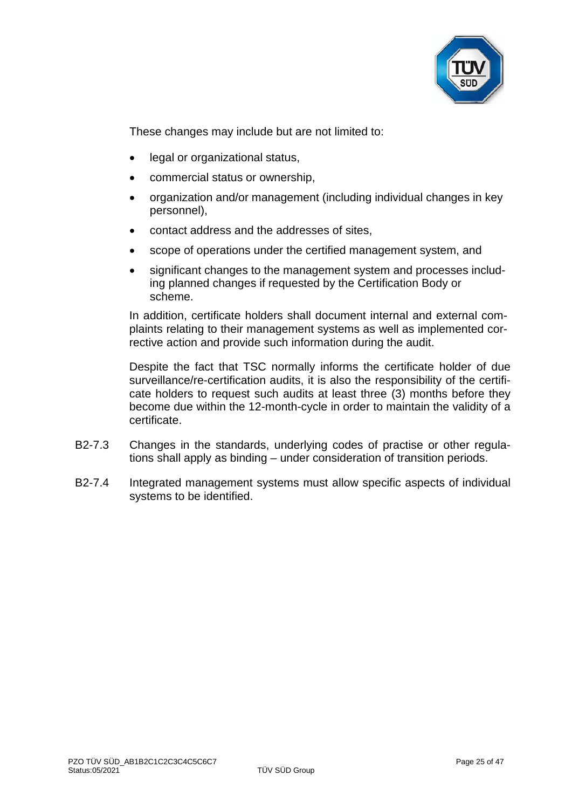

These changes may include but are not limited to:

- legal or organizational status,
- commercial status or ownership,
- organization and/or management (including individual changes in key personnel),
- contact address and the addresses of sites,
- scope of operations under the certified management system, and
- significant changes to the management system and processes including planned changes if requested by the Certification Body or scheme.

In addition, certificate holders shall document internal and external complaints relating to their management systems as well as implemented corrective action and provide such information during the audit.

Despite the fact that TSC normally informs the certificate holder of due surveillance/re-certification audits, it is also the responsibility of the certificate holders to request such audits at least three (3) months before they become due within the 12-month-cycle in order to maintain the validity of a certificate.

- B2-7.3 Changes in the standards, underlying codes of practise or other regulations shall apply as binding – under consideration of transition periods.
- B2-7.4 Integrated management systems must allow specific aspects of individual systems to be identified.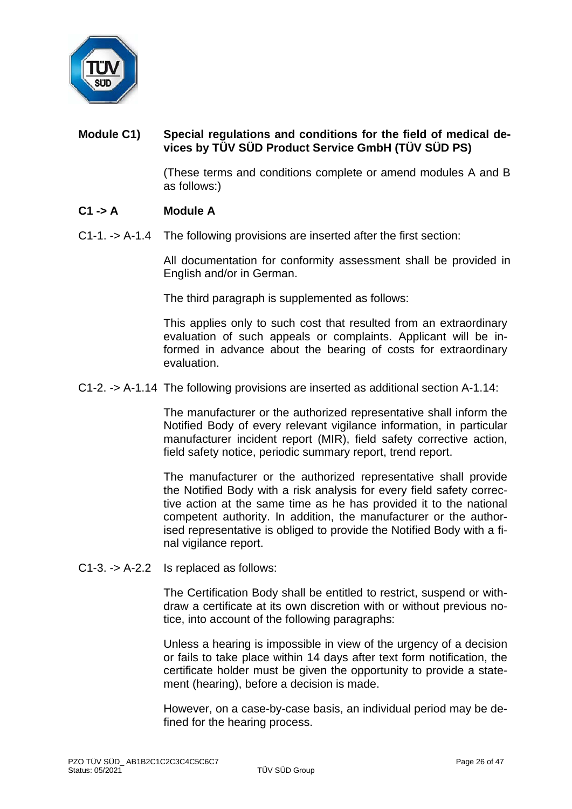

# **Module C1) Special regulations and conditions for the field of medical devices by TÜV SÜD Product Service GmbH (TÜV SÜD PS)**

(These terms and conditions complete or amend modules A and B as follows:)

## **C1 -> A Module A**

C1-1. -> A-1.4 The following provisions are inserted after the first section:

All documentation for conformity assessment shall be provided in English and/or in German.

The third paragraph is supplemented as follows:

This applies only to such cost that resulted from an extraordinary evaluation of such appeals or complaints. Applicant will be informed in advance about the bearing of costs for extraordinary evaluation.

#### C1-2. -> A-1.14 The following provisions are inserted as additional section A-1.14:

The manufacturer or the authorized representative shall inform the Notified Body of every relevant vigilance information, in particular manufacturer incident report (MIR), field safety corrective action, field safety notice, periodic summary report, trend report.

The manufacturer or the authorized representative shall provide the Notified Body with a risk analysis for every field safety corrective action at the same time as he has provided it to the national competent authority. In addition, the manufacturer or the authorised representative is obliged to provide the Notified Body with a final vigilance report.

C1-3. -> A-2.2 Is replaced as follows:

The Certification Body shall be entitled to restrict, suspend or withdraw a certificate at its own discretion with or without previous notice, into account of the following paragraphs:

Unless a hearing is impossible in view of the urgency of a decision or fails to take place within 14 days after text form notification, the certificate holder must be given the opportunity to provide a statement (hearing), before a decision is made.

However, on a case-by-case basis, an individual period may be defined for the hearing process.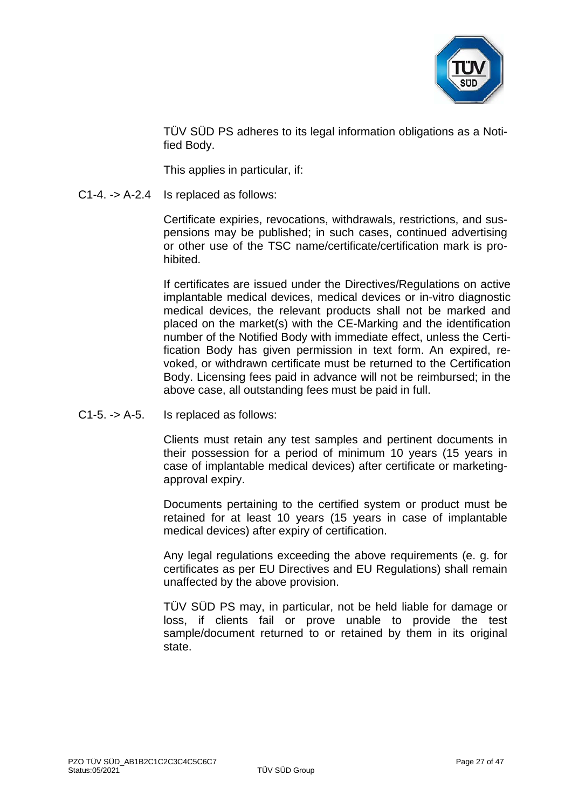

TÜV SÜD PS adheres to its legal information obligations as a Notified Body.

This applies in particular, if:

C1-4. -> A-2.4 Is replaced as follows:

Certificate expiries, revocations, withdrawals, restrictions, and suspensions may be published; in such cases, continued advertising or other use of the TSC name/certificate/certification mark is prohibited.

If certificates are issued under the Directives/Regulations on active implantable medical devices, medical devices or in-vitro diagnostic medical devices, the relevant products shall not be marked and placed on the market(s) with the CE-Marking and the identification number of the Notified Body with immediate effect, unless the Certification Body has given permission in text form. An expired, revoked, or withdrawn certificate must be returned to the Certification Body. Licensing fees paid in advance will not be reimbursed; in the above case, all outstanding fees must be paid in full.

C1-5. -> A-5. Is replaced as follows:

Clients must retain any test samples and pertinent documents in their possession for a period of minimum 10 years (15 years in case of implantable medical devices) after certificate or marketingapproval expiry.

Documents pertaining to the certified system or product must be retained for at least 10 years (15 years in case of implantable medical devices) after expiry of certification.

Any legal regulations exceeding the above requirements (e. g. for certificates as per EU Directives and EU Regulations) shall remain unaffected by the above provision.

TÜV SÜD PS may, in particular, not be held liable for damage or loss, if clients fail or prove unable to provide the test sample/document returned to or retained by them in its original state.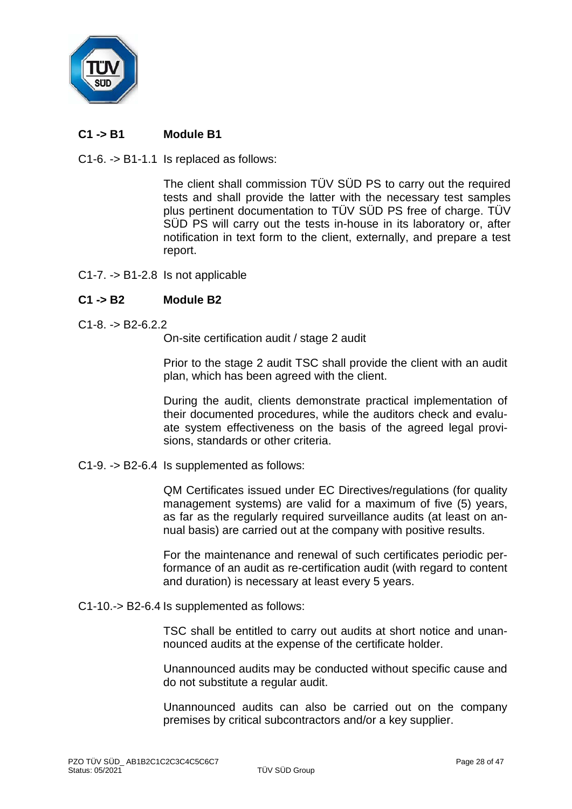

# **C1 -> B1 Module B1**

C1-6. -> B1-1.1 Is replaced as follows:

The client shall commission TÜV SÜD PS to carry out the required tests and shall provide the latter with the necessary test samples plus pertinent documentation to TÜV SÜD PS free of charge. TÜV SÜD PS will carry out the tests in-house in its laboratory or, after notification in text form to the client, externally, and prepare a test report.

C1-7. -> B1-2.8 Is not applicable

## **C1 -> B2 Module B2**

 $C1-8$  -> B<sub>2</sub>-6.2.2.

On-site certification audit / stage 2 audit

Prior to the stage 2 audit TSC shall provide the client with an audit plan, which has been agreed with the client.

During the audit, clients demonstrate practical implementation of their documented procedures, while the auditors check and evaluate system effectiveness on the basis of the agreed legal provisions, standards or other criteria.

C1-9. -> B2-6.4 Is supplemented as follows:

QM Certificates issued under EC Directives/regulations (for quality management systems) are valid for a maximum of five (5) years, as far as the regularly required surveillance audits (at least on annual basis) are carried out at the company with positive results.

For the maintenance and renewal of such certificates periodic performance of an audit as re-certification audit (with regard to content and duration) is necessary at least every 5 years.

C1-10.-> B2-6.4 Is supplemented as follows:

TSC shall be entitled to carry out audits at short notice and unannounced audits at the expense of the certificate holder.

Unannounced audits may be conducted without specific cause and do not substitute a regular audit.

Unannounced audits can also be carried out on the company premises by critical subcontractors and/or a key supplier.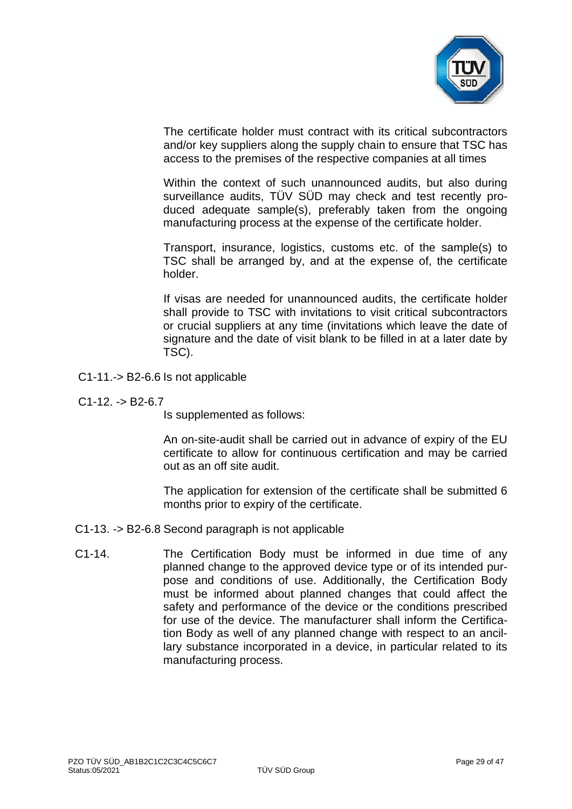

The certificate holder must contract with its critical subcontractors and/or key suppliers along the supply chain to ensure that TSC has access to the premises of the respective companies at all times

Within the context of such unannounced audits, but also during surveillance audits, TÜV SÜD may check and test recently produced adequate sample(s), preferably taken from the ongoing manufacturing process at the expense of the certificate holder.

Transport, insurance, logistics, customs etc. of the sample(s) to TSC shall be arranged by, and at the expense of, the certificate holder.

If visas are needed for unannounced audits, the certificate holder shall provide to TSC with invitations to visit critical subcontractors or crucial suppliers at any time (invitations which leave the date of signature and the date of visit blank to be filled in at a later date by TSC).

- C1-11.-> B2-6.6 Is not applicable
- $C1-12. -> B2-6.7$

Is supplemented as follows:

An on-site-audit shall be carried out in advance of expiry of the EU certificate to allow for continuous certification and may be carried out as an off site audit.

The application for extension of the certificate shall be submitted 6 months prior to expiry of the certificate.

- C1-13. -> B2-6.8 Second paragraph is not applicable
- C1-14. The Certification Body must be informed in due time of any planned change to the approved device type or of its intended purpose and conditions of use. Additionally, the Certification Body must be informed about planned changes that could affect the safety and performance of the device or the conditions prescribed for use of the device. The manufacturer shall inform the Certification Body as well of any planned change with respect to an ancillary substance incorporated in a device, in particular related to its manufacturing process.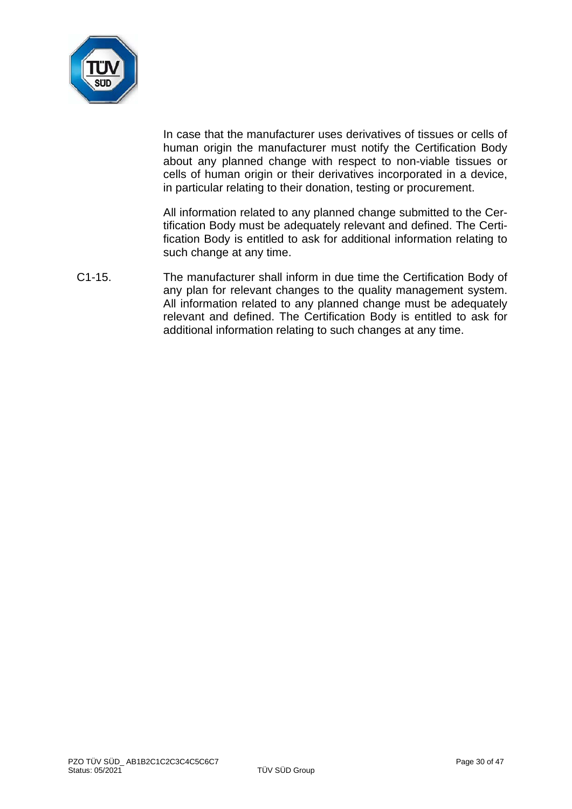

In case that the manufacturer uses derivatives of tissues or cells of human origin the manufacturer must notify the Certification Body about any planned change with respect to non-viable tissues or cells of human origin or their derivatives incorporated in a device, in particular relating to their donation, testing or procurement.

All information related to any planned change submitted to the Certification Body must be adequately relevant and defined. The Certification Body is entitled to ask for additional information relating to such change at any time.

C1-15. The manufacturer shall inform in due time the Certification Body of any plan for relevant changes to the quality management system. All information related to any planned change must be adequately relevant and defined. The Certification Body is entitled to ask for additional information relating to such changes at any time.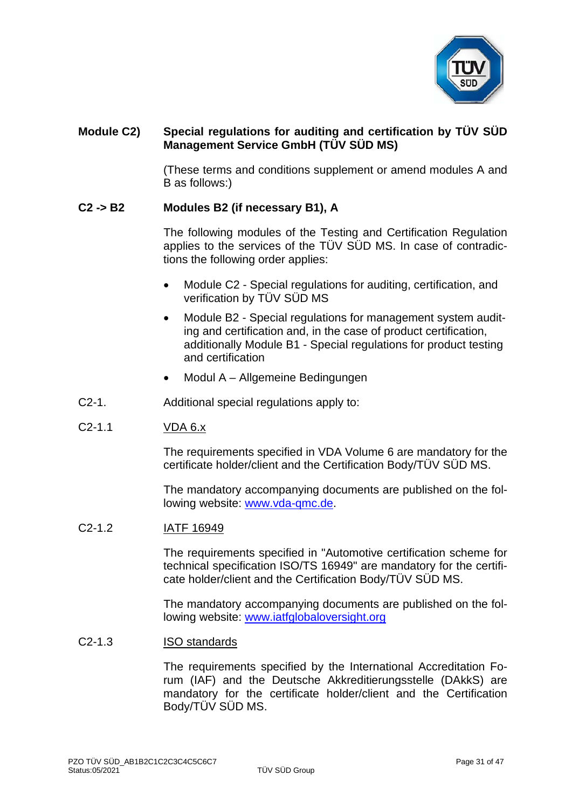

## **Module C2) Special regulations for auditing and certification by TÜV SÜD Management Service GmbH (TÜV SÜD MS)**

(These terms and conditions supplement or amend modules A and B as follows:)

## **C2 -> B2 Modules B2 (if necessary B1), A**

The following modules of the Testing and Certification Regulation applies to the services of the TÜV SÜD MS. In case of contradictions the following order applies:

- Module C2 Special regulations for auditing, certification, and verification by TÜV SÜD MS
- Module B2 Special regulations for management system auditing and certification and, in the case of product certification, additionally Module B1 - Special regulations for product testing and certification
- Modul A Allgemeine Bedingungen
- C2-1. Additional special regulations apply to:

## C2-1.1 VDA 6.x

The requirements specified in VDA Volume 6 are mandatory for the certificate holder/client and the Certification Body/TÜV SÜD MS.

The mandatory accompanying documents are published on the following website: [www.vda-qmc.de.](http://www.vda-qmc.de/)

## C2-1.2 IATF 16949

The requirements specified in "Automotive certification scheme for technical specification ISO/TS 16949" are mandatory for the certificate holder/client and the Certification Body/TÜV SÜD MS.

The mandatory accompanying documents are published on the following website: [www.iatfglobaloversight.org](http://www.iatfglobaloversight.org/)

#### C2-1.3 ISO standards

The requirements specified by the International Accreditation Forum (IAF) and the Deutsche Akkreditierungsstelle (DAkkS) are mandatory for the certificate holder/client and the Certification Body/TÜV SÜD MS.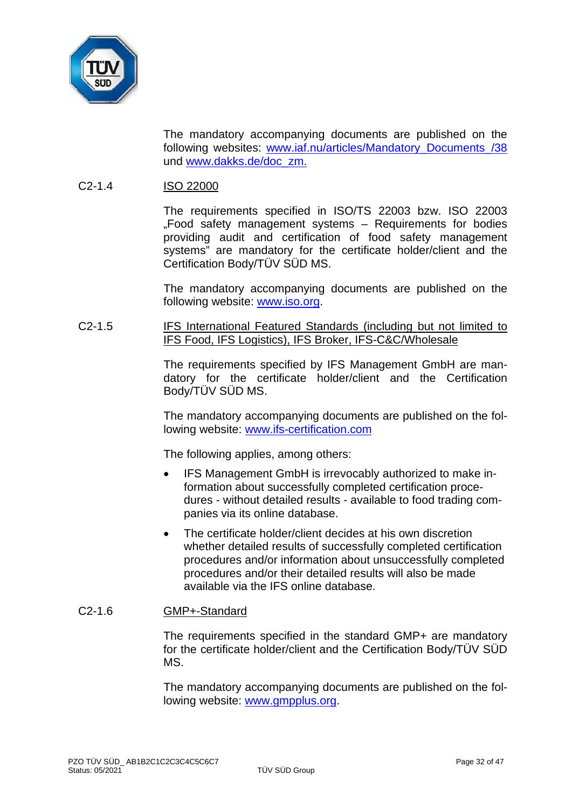

The mandatory accompanying documents are published on the following websites: [www.iaf.nu/articles/Mandatory\\_Documents\\_/38](http://www.iaf.nu/articles/Mandatory_Documents_/38) und [www.dakks.de/doc\\_zm.](http://www.dakks.de/doc_zm)

## C2-1.4 ISO 22000

The requirements specified in ISO/TS 22003 bzw. ISO 22003 "Food safety management systems – Requirements for bodies providing audit and certification of food safety management systems" are mandatory for the certificate holder/client and the Certification Body/TÜV SÜD MS.

The mandatory accompanying documents are published on the following website: [www.iso.org.](http://www.iso.org/)

#### C2-1.5 IFS International Featured Standards (including but not limited to IFS Food, IFS Logistics), IFS Broker, IFS-C&C/Wholesale

The requirements specified by IFS Management GmbH are mandatory for the certificate holder/client and the Certification Body/TÜV SÜD MS.

The mandatory accompanying documents are published on the following website: [www.ifs-certification.com](http://www.ifs-certification.com/)

The following applies, among others:

- IFS Management GmbH is irrevocably authorized to make information about successfully completed certification procedures - without detailed results - available to food trading companies via its online database.
- The certificate holder/client decides at his own discretion whether detailed results of successfully completed certification procedures and/or information about unsuccessfully completed procedures and/or their detailed results will also be made available via the IFS online database.

## C2-1.6 GMP+-Standard

The requirements specified in the standard GMP+ are mandatory for the certificate holder/client and the Certification Body/TÜV SÜD MS.

The mandatory accompanying documents are published on the following website: [www.gmpplus.org.](http://www.gmpplus.org/)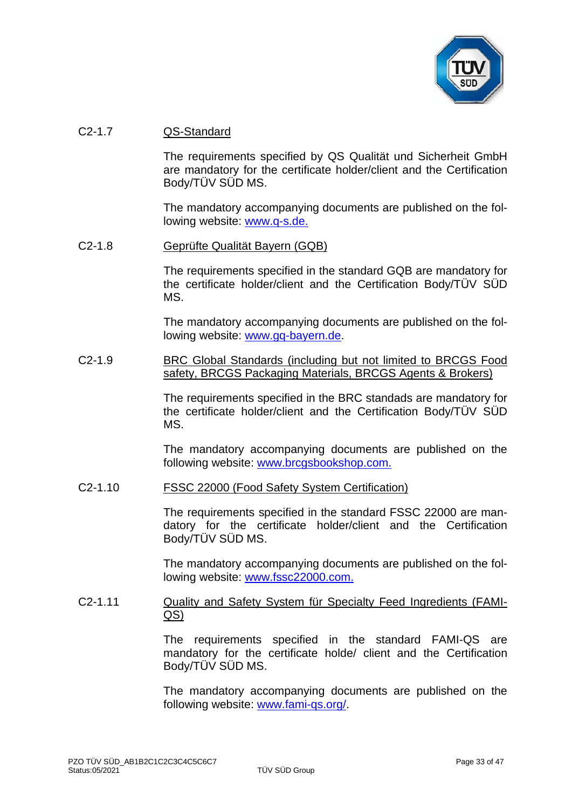

## C2-1.7 QS-Standard

The requirements specified by QS Qualität und Sicherheit GmbH are mandatory for the certificate holder/client and the Certification Body/TÜV SÜD MS.

The mandatory accompanying documents are published on the following website: [www.q-s.de.](http://www.q-s.de/)

#### C2-1.8 Geprüfte Qualität Bayern (GQB)

The requirements specified in the standard GQB are mandatory for the certificate holder/client and the Certification Body/TÜV SÜD MS.

The mandatory accompanying documents are published on the following website: [www.gq-bayern.de.](http://www.gq-bayern.de/)

#### C2-1.9 BRC Global Standards (including but not limited to BRCGS Food safety, BRCGS Packaging Materials, BRCGS Agents & Brokers)

The requirements specified in the BRC standads are mandatory for the certificate holder/client and the Certification Body/TÜV SÜD MS.

The mandatory accompanying documents are published on the following website: [www.brcgsbookshop.com.](http://www.brcgsbookshop.com/)

#### C2-1.10 FSSC 22000 (Food Safety System Certification)

The requirements specified in the standard FSSC 22000 are mandatory for the certificate holder/client and the Certification Body/TÜV SÜD MS.

The mandatory accompanying documents are published on the following website: [www.fssc22000.com.](http://www.fssc22000.com/)

#### C2-1.11 Quality and Safety System für Specialty Feed Ingredients (FAMI-QS)

The requirements specified in the standard FAMI-QS are mandatory for the certificate holde/ client and the Certification Body/TÜV SÜD MS.

The mandatory accompanying documents are published on the following website: [www.fami-qs.org/.](http://www.fami-qs.org/)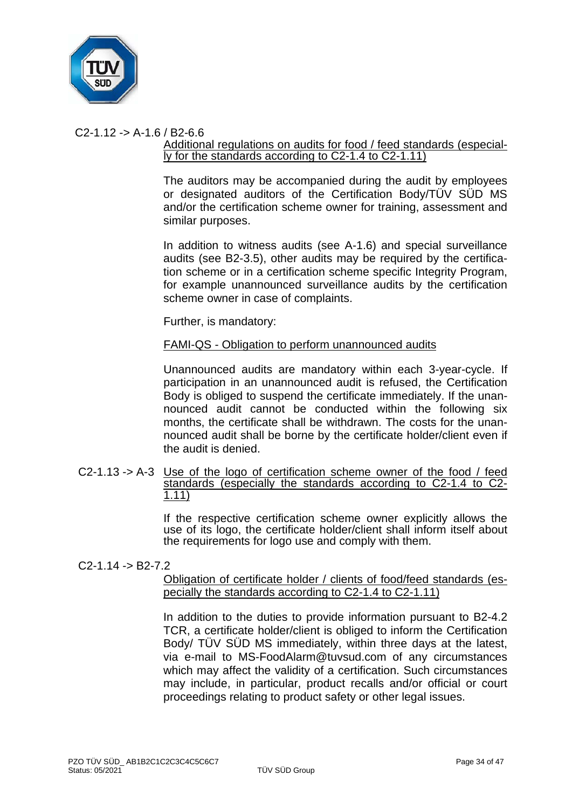

# $C2-1.12 - D A-1.6 / B2-6.6$

#### Additional regulations on audits for food / feed standards (especially for the standards according to C2-1.4 to C2-1.11)

The auditors may be accompanied during the audit by employees or designated auditors of the Certification Body/TÜV SÜD MS and/or the certification scheme owner for training, assessment and similar purposes.

In addition to witness audits (see A-1.6) and special surveillance audits (see B2-3.5), other audits may be required by the certification scheme or in a certification scheme specific Integrity Program, for example unannounced surveillance audits by the certification scheme owner in case of complaints.

Further, is mandatory:

#### FAMI-QS - Obligation to perform unannounced audits

Unannounced audits are mandatory within each 3-year-cycle. If participation in an unannounced audit is refused, the Certification Body is obliged to suspend the certificate immediately. If the unannounced audit cannot be conducted within the following six months, the certificate shall be withdrawn. The costs for the unannounced audit shall be borne by the certificate holder/client even if the audit is denied.

C2-1.13 -> A-3 Use of the logo of certification scheme owner of the food / feed standards (especially the standards according to C2-1.4 to C2-<br>1.11)

> If the respective certification scheme owner explicitly allows the use of its logo, the certificate holder/client shall inform itself about the requirements for logo use and comply with them.

## $C2-1.14 - B2-7.2$

Obligation of certificate holder / clients of food/feed standards (especially the standards according to C2-1.4 to C2-1.11)

In addition to the duties to provide information pursuant to B2-4.2 TCR, a certificate holder/client is obliged to inform the Certification Body/ TÜV SÜD MS immediately, within three days at the latest, via e-mail to MS-FoodAlarm@tuvsud.com of any circumstances which may affect the validity of a certification. Such circumstances may include, in particular, product recalls and/or official or court proceedings relating to product safety or other legal issues.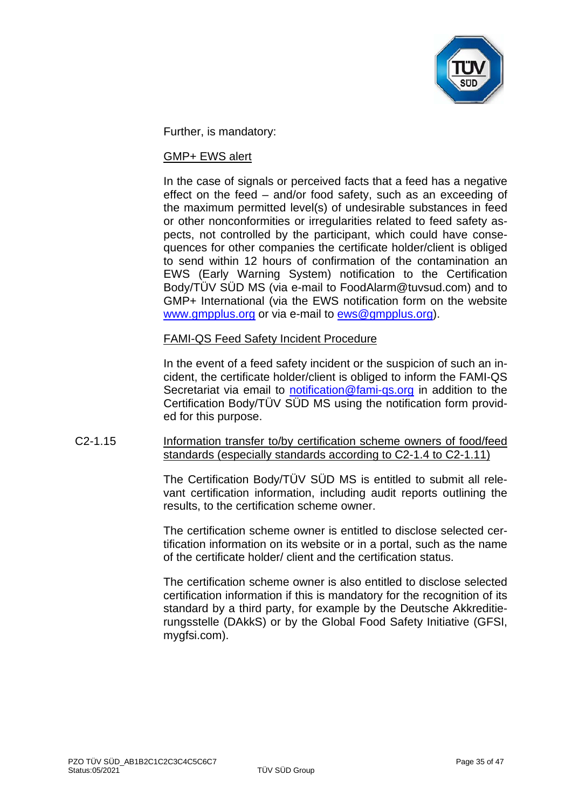

Further, is mandatory:

#### GMP+ EWS alert

In the case of signals or perceived facts that a feed has a negative effect on the feed – and/or food safety, such as an exceeding of the maximum permitted level(s) of undesirable substances in feed or other nonconformities or irregularities related to feed safety aspects, not controlled by the participant, which could have consequences for other companies the certificate holder/client is obliged to send within 12 hours of confirmation of the contamination an EWS (Early Warning System) notification to the Certification Body/TÜV SÜD MS (via e-mail to FoodAlarm@tuvsud.com) and to GMP+ International (via the EWS notification form on the website [www.gmpplus.org](http://www.gmpplus.org/) or via e-mail to [ews@gmpplus.org\)](mailto:ews@gmpplus.org).

#### FAMI-QS Feed Safety Incident Procedure

In the event of a feed safety incident or the suspicion of such an incident, the certificate holder/client is obliged to inform the FAMI-QS Secretariat via email to [notification@fami-qs.org](mailto:notification@fami-qs.org) in addition to the Certification Body/TÜV SÜD MS using the notification form provided for this purpose.

## C2-1.15 Information transfer to/by certification scheme owners of food/feed standards (especially standards according to C2-1.4 to C2-1.11)

The Certification Body/TÜV SÜD MS is entitled to submit all relevant certification information, including audit reports outlining the results, to the certification scheme owner.

The certification scheme owner is entitled to disclose selected certification information on its website or in a portal, such as the name of the certificate holder/ client and the certification status.

The certification scheme owner is also entitled to disclose selected certification information if this is mandatory for the recognition of its standard by a third party, for example by the Deutsche Akkreditierungsstelle (DAkkS) or by the Global Food Safety Initiative (GFSI, mygfsi.com).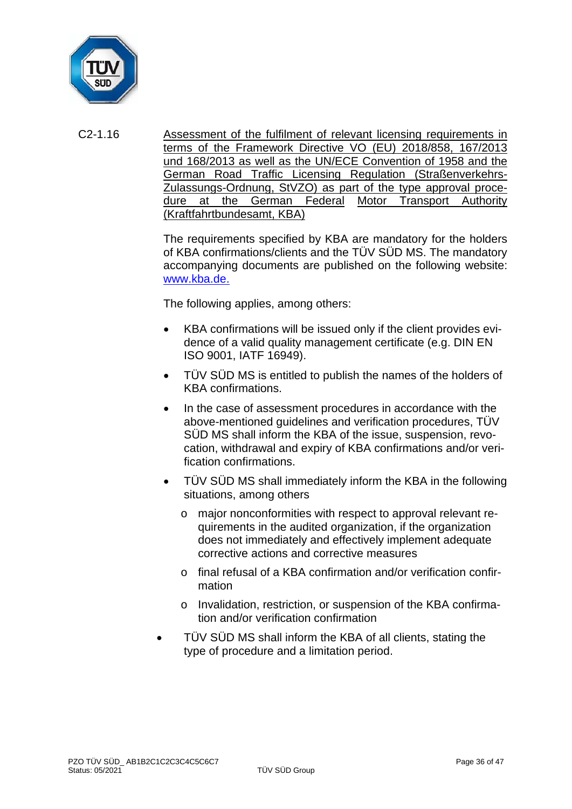

C2-1.16 Assessment of the fulfilment of relevant licensing requirements in terms of the Framework Directive VO (EU) 2018/858, 167/2013 und 168/2013 as well as the UN/ECE Convention of 1958 and the German Road Traffic Licensing Regulation (Straßenverkehrs-Zulassungs-Ordnung, StVZO) as part of the type approval procedure at the German Federal Motor Transport Authority (Kraftfahrtbundesamt, KBA)

> The requirements specified by KBA are mandatory for the holders of KBA confirmations/clients and the TÜV SÜD MS. The mandatory accompanying documents are published on the following website: [www.kba.de.](http://www.kba.de/)

The following applies, among others:

- KBA confirmations will be issued only if the client provides evidence of a valid quality management certificate (e.g. DIN EN ISO 9001, IATF 16949).
- TÜV SÜD MS is entitled to publish the names of the holders of KBA confirmations.
- In the case of assessment procedures in accordance with the above-mentioned guidelines and verification procedures, TÜV SÜD MS shall inform the KBA of the issue, suspension, revocation, withdrawal and expiry of KBA confirmations and/or verification confirmations.
- TÜV SÜD MS shall immediately inform the KBA in the following situations, among others
	- o major nonconformities with respect to approval relevant requirements in the audited organization, if the organization does not immediately and effectively implement adequate corrective actions and corrective measures
	- o final refusal of a KBA confirmation and/or verification confirmation
	- o Invalidation, restriction, or suspension of the KBA confirmation and/or verification confirmation
- TÜV SÜD MS shall inform the KBA of all clients, stating the type of procedure and a limitation period.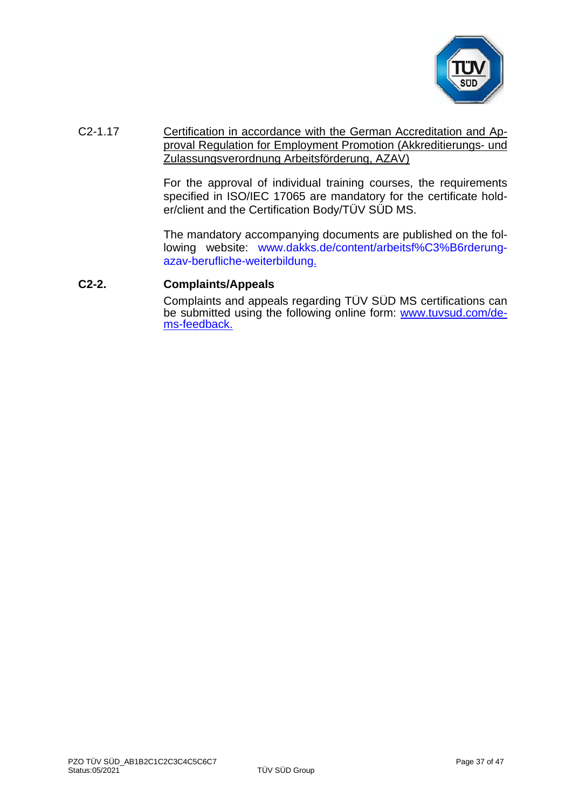

## C2-1.17 Certification in accordance with the German Accreditation and Approval Regulation for Employment Promotion (Akkreditierungs- und Zulassungsverordnung Arbeitsförderung, AZAV)

For the approval of individual training courses, the requirements specified in ISO/IEC 17065 are mandatory for the certificate holder/client and the Certification Body/TÜV SÜD MS.

The mandatory accompanying documents are published on the following website: [www.dakks.de/content/arbeitsf%C3%B6rderung](http://www.dakks.de/content/arbeitsf%C3%B6rderung-azav-berufliche-weiterbildung)[azav-berufliche-weiterbildung.](http://www.dakks.de/content/arbeitsf%C3%B6rderung-azav-berufliche-weiterbildung)

#### **C2-2. Complaints/Appeals**

Complaints and appeals regarding TÜV SÜD MS certifications can be submitted using the following online form: **www.tuvsud.com/de**[ms-feedback.](http://www.tuvsud.com/de-ms-feedback)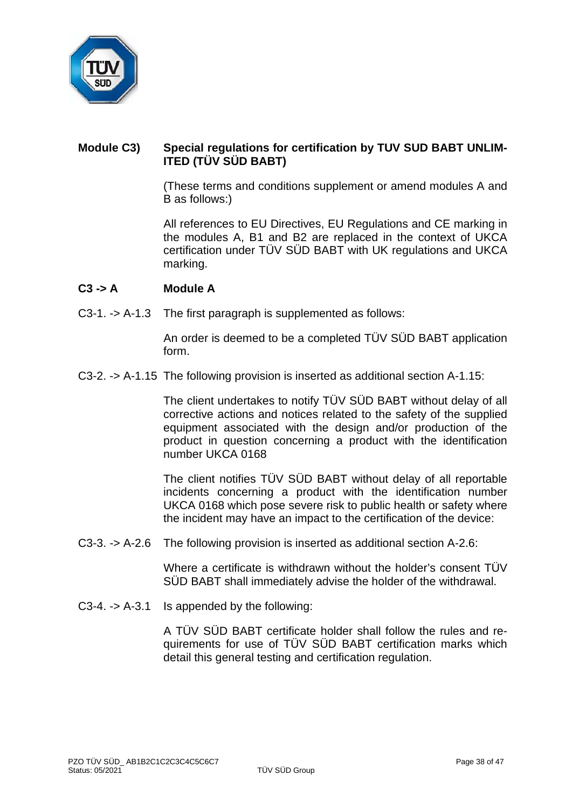

## **Module C3) Special regulations for certification by TUV SUD BABT UNLIM-ITED (TÜV SÜD BABT)**

(These terms and conditions supplement or amend modules A and B as follows:)

All references to EU Directives, EU Regulations and CE marking in the modules A, B1 and B2 are replaced in the context of UKCA certification under TÜV SÜD BABT with UK regulations and UKCA marking.

## **C3 -> A Module A**

C3-1. -> A-1.3 The first paragraph is supplemented as follows:

An order is deemed to be a completed TÜV SÜD BABT application form.

C3-2. -> A-1.15 The following provision is inserted as additional section A-1.15:

The client undertakes to notify TÜV SÜD BABT without delay of all corrective actions and notices related to the safety of the supplied equipment associated with the design and/or production of the product in question concerning a product with the identification number UKCA 0168

The client notifies TÜV SÜD BABT without delay of all reportable incidents concerning a product with the identification number UKCA 0168 which pose severe risk to public health or safety where the incident may have an impact to the certification of the device:

C3-3. -> A-2.6 The following provision is inserted as additional section A-2.6:

Where a certificate is withdrawn without the holder's consent TÜV SÜD BABT shall immediately advise the holder of the withdrawal.

C3-4. -> A-3.1 Is appended by the following:

A TÜV SÜD BABT certificate holder shall follow the rules and requirements for use of TÜV SÜD BABT certification marks which detail this general testing and certification regulation.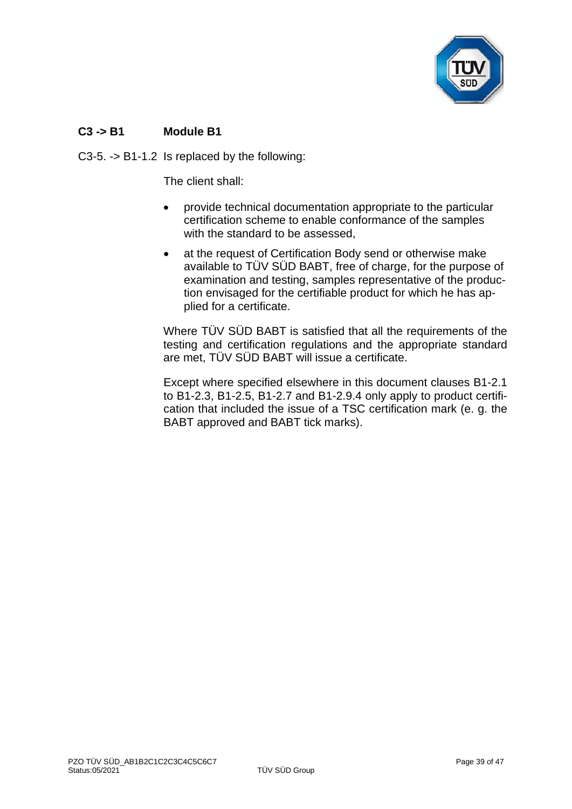

# **C3 -> B1 Module B1**

C3-5. -> B1-1.2 Is replaced by the following:

The client shall:

- provide technical documentation appropriate to the particular certification scheme to enable conformance of the samples with the standard to be assessed,
- at the request of Certification Body send or otherwise make available to TÜV SÜD BABT, free of charge, for the purpose of examination and testing, samples representative of the production envisaged for the certifiable product for which he has applied for a certificate.

Where TÜV SÜD BABT is satisfied that all the requirements of the testing and certification regulations and the appropriate standard are met, TÜV SÜD BABT will issue a certificate.

Except where specified elsewhere in this document clauses B1-2.1 to B1-2.3, B1-2.5, B1-2.7 and B1-2.9.4 only apply to product certification that included the issue of a TSC certification mark (e. g. the BABT approved and BABT tick marks).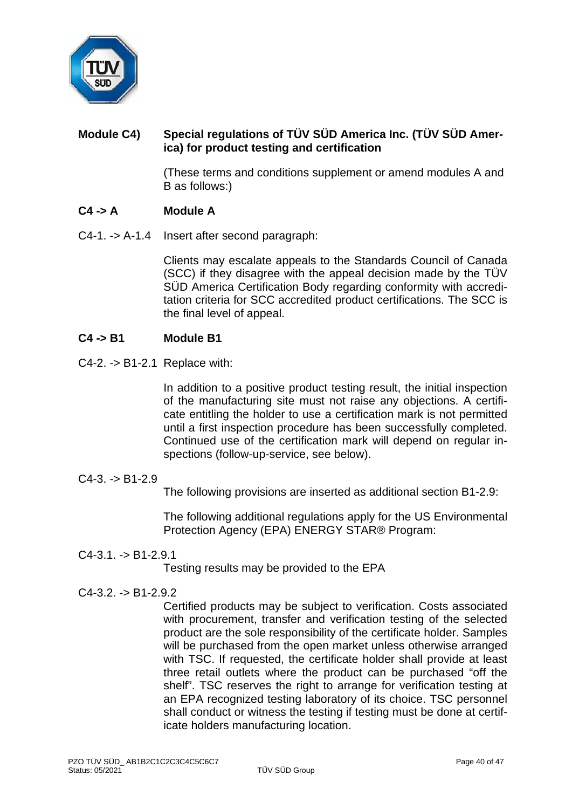

# **Module C4) Special regulations of TÜV SÜD America Inc. (TÜV SÜD America) for product testing and certification**

(These terms and conditions supplement or amend modules A and B as follows:)

# **C4 -> A Module A**

C4-1. -> A-1.4 Insert after second paragraph:

Clients may escalate appeals to the Standards Council of Canada (SCC) if they disagree with the appeal decision made by the TÜV SÜD America Certification Body regarding conformity with accreditation criteria for SCC accredited product certifications. The SCC is the final level of appeal.

## **C4 -> B1 Module B1**

C4-2. -> B1-2.1 Replace with:

In addition to a positive product testing result, the initial inspection of the manufacturing site must not raise any objections. A certificate entitling the holder to use a certification mark is not permitted until a first inspection procedure has been successfully completed. Continued use of the certification mark will depend on regular inspections (follow-up-service, see below).

 $C4-3. -> B1-2.9$ 

The following provisions are inserted as additional section B1-2.9:

The following additional regulations apply for the US Environmental Protection Agency (EPA) ENERGY STAR® Program:

 $C4-3.1. -> B1-2.9.1$ 

Testing results may be provided to the EPA

 $C4-3.2. -D B1-2.9.2$ 

Certified products may be subject to verification. Costs associated with procurement, transfer and verification testing of the selected product are the sole responsibility of the certificate holder. Samples will be purchased from the open market unless otherwise arranged with TSC. If requested, the certificate holder shall provide at least three retail outlets where the product can be purchased "off the shelf". TSC reserves the right to arrange for verification testing at an EPA recognized testing laboratory of its choice. TSC personnel shall conduct or witness the testing if testing must be done at certificate holders manufacturing location.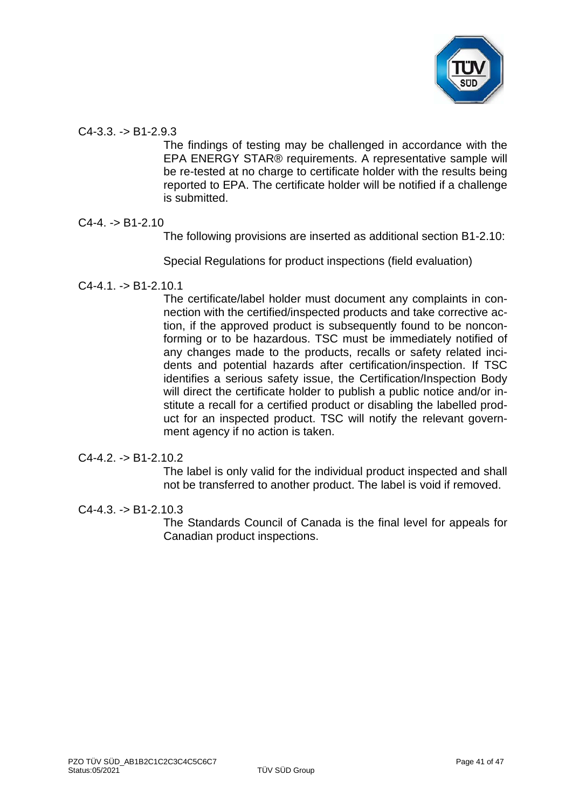

## $C4-3.3. -> B1-2.9.3$

The findings of testing may be challenged in accordance with the EPA ENERGY STAR® requirements. A representative sample will be re-tested at no charge to certificate holder with the results being reported to EPA. The certificate holder will be notified if a challenge is submitted.

## $C4-4. -> B1-2.10$

The following provisions are inserted as additional section B1-2.10:

Special Regulations for product inspections (field evaluation)

 $C4-4.1. \rightarrow B1-2.10.1$ 

The certificate/label holder must document any complaints in connection with the certified/inspected products and take corrective action, if the approved product is subsequently found to be nonconforming or to be hazardous. TSC must be immediately notified of any changes made to the products, recalls or safety related incidents and potential hazards after certification/inspection. If TSC identifies a serious safety issue, the Certification/Inspection Body will direct the certificate holder to publish a public notice and/or institute a recall for a certified product or disabling the labelled product for an inspected product. TSC will notify the relevant government agency if no action is taken.

## $C4-4.2. -> B1-2.10.2$

The label is only valid for the individual product inspected and shall not be transferred to another product. The label is void if removed.

 $C4-4.3. -> B1-2.10.3$ 

The Standards Council of Canada is the final level for appeals for Canadian product inspections.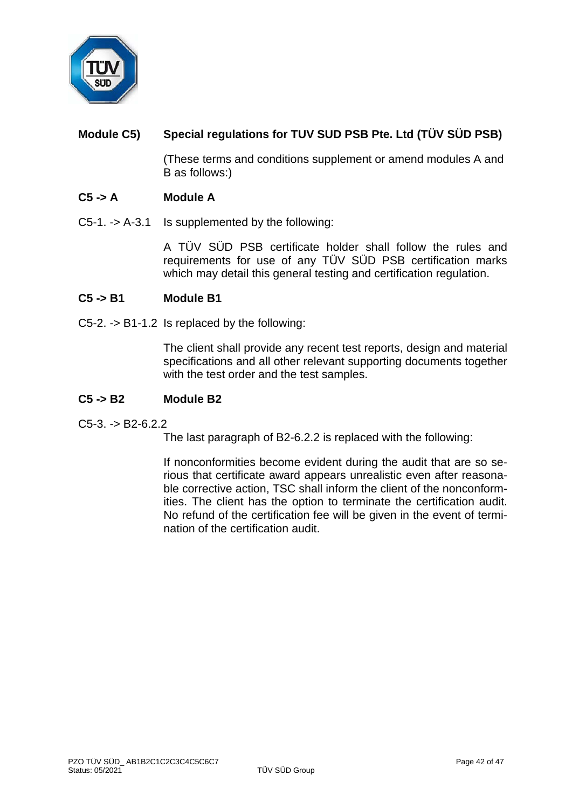

# **Module C5) Special regulations for TUV SUD PSB Pte. Ltd (TÜV SÜD PSB)**

(These terms and conditions supplement or amend modules A and B as follows:)

## **C5 -> A Module A**

C5-1. -> A-3.1 Is supplemented by the following:

A TÜV SÜD PSB certificate holder shall follow the rules and requirements for use of any TÜV SÜD PSB certification marks which may detail this general testing and certification regulation.

#### **C5 -> B1 Module B1**

C5-2. -> B1-1.2 Is replaced by the following:

The client shall provide any recent test reports, design and material specifications and all other relevant supporting documents together with the test order and the test samples.

#### **C5 -> B2 Module B2**

 $C5-3. -> B2-6.2.2$ 

The last paragraph of B2-6.2.2 is replaced with the following:

If nonconformities become evident during the audit that are so serious that certificate award appears unrealistic even after reasonable corrective action, TSC shall inform the client of the nonconformities. The client has the option to terminate the certification audit. No refund of the certification fee will be given in the event of termination of the certification audit.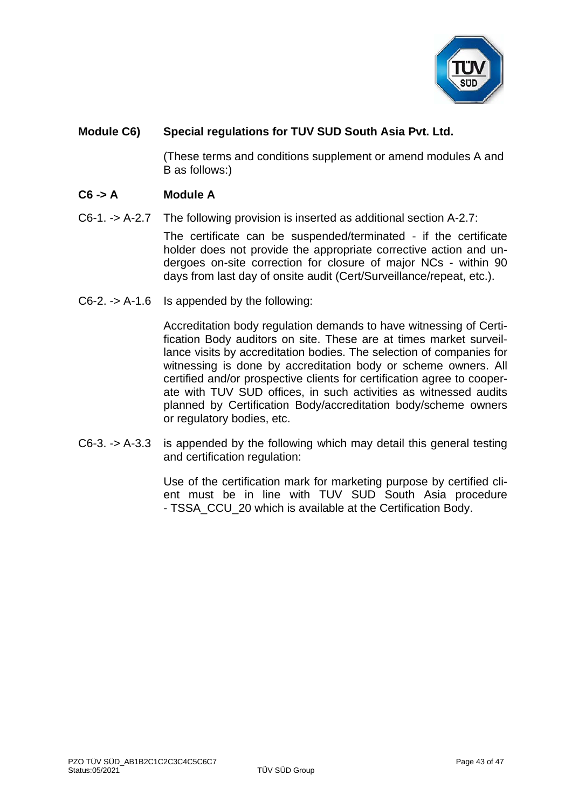

# **Module C6) Special regulations for TUV SUD South Asia Pvt. Ltd.**

(These terms and conditions supplement or amend modules A and B as follows:)

## **C6 -> A Module A**

C6-1. -> A-2.7 The following provision is inserted as additional section A-2.7:

The certificate can be suspended/terminated - if the certificate holder does not provide the appropriate corrective action and undergoes on-site correction for closure of major NCs - within 90 days from last day of onsite audit (Cert/Surveillance/repeat, etc.).

C6-2. -> A-1.6 Is appended by the following:

Accreditation body regulation demands to have witnessing of Certification Body auditors on site. These are at times market surveillance visits by accreditation bodies. The selection of companies for witnessing is done by accreditation body or scheme owners. All certified and/or prospective clients for certification agree to cooperate with TUV SUD offices, in such activities as witnessed audits planned by Certification Body/accreditation body/scheme owners or regulatory bodies, etc.

C6-3. -> A-3.3 is appended by the following which may detail this general testing and certification regulation:

> Use of the certification mark for marketing purpose by certified client must be in line with TUV SUD South Asia procedure - TSSA\_CCU\_20 which is available at the Certification Body.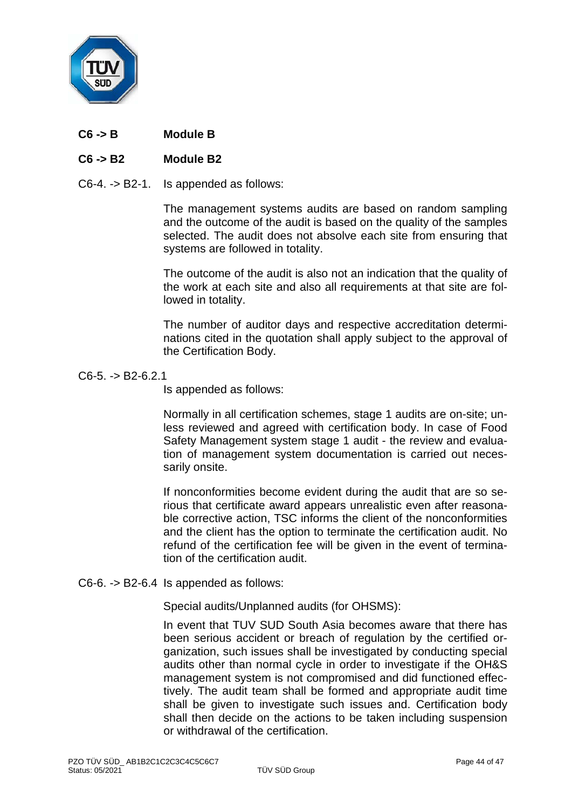

**C6 -> B Module B**

## **C6 -> B2 Module B2**

C6-4. -> B2-1. Is appended as follows:

The management systems audits are based on random sampling and the outcome of the audit is based on the quality of the samples selected. The audit does not absolve each site from ensuring that systems are followed in totality.

The outcome of the audit is also not an indication that the quality of the work at each site and also all requirements at that site are followed in totality.

The number of auditor days and respective accreditation determinations cited in the quotation shall apply subject to the approval of the Certification Body.

C6-5. -> B2-6.2.1

Is appended as follows:

Normally in all certification schemes, stage 1 audits are on-site; unless reviewed and agreed with certification body. In case of Food Safety Management system stage 1 audit - the review and evaluation of management system documentation is carried out necessarily onsite.

If nonconformities become evident during the audit that are so serious that certificate award appears unrealistic even after reasonable corrective action, TSC informs the client of the nonconformities and the client has the option to terminate the certification audit. No refund of the certification fee will be given in the event of termination of the certification audit.

C6-6. -> B2-6.4 Is appended as follows:

Special audits/Unplanned audits (for OHSMS):

In event that TUV SUD South Asia becomes aware that there has been serious accident or breach of regulation by the certified organization, such issues shall be investigated by conducting special audits other than normal cycle in order to investigate if the OH&S management system is not compromised and did functioned effectively. The audit team shall be formed and appropriate audit time shall be given to investigate such issues and. Certification body shall then decide on the actions to be taken including suspension or withdrawal of the certification.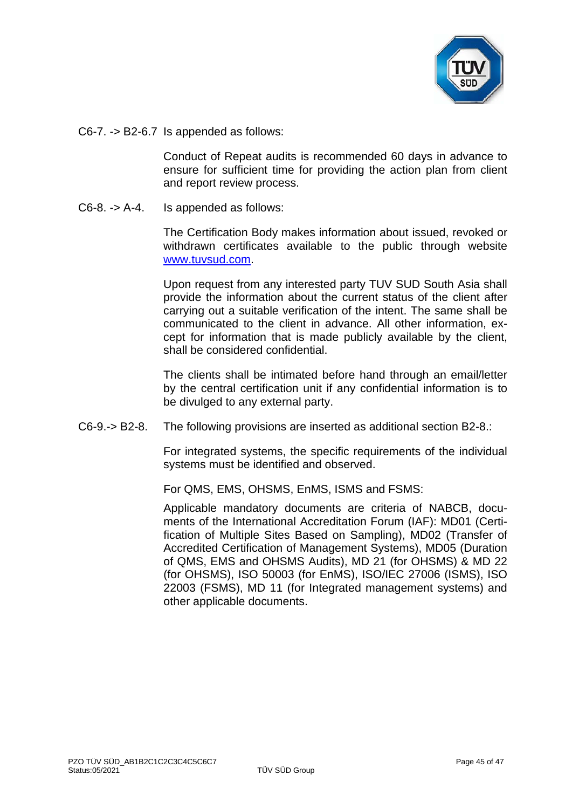

C6-7. -> B2-6.7 Is appended as follows:

Conduct of Repeat audits is recommended 60 days in advance to ensure for sufficient time for providing the action plan from client and report review process.

C6-8. -> A-4. Is appended as follows:

The Certification Body makes information about issued, revoked or withdrawn certificates available to the public through website [www.tuvsud.com.](http://www.tuvsud.com/)

Upon request from any interested party TUV SUD South Asia shall provide the information about the current status of the client after carrying out a suitable verification of the intent. The same shall be communicated to the client in advance. All other information, except for information that is made publicly available by the client, shall be considered confidential.

The clients shall be intimated before hand through an email/letter by the central certification unit if any confidential information is to be divulged to any external party.

C6-9.-> B2-8. The following provisions are inserted as additional section B2-8.:

For integrated systems, the specific requirements of the individual systems must be identified and observed.

For QMS, EMS, OHSMS, EnMS, ISMS and FSMS:

Applicable mandatory documents are criteria of NABCB, documents of the International Accreditation Forum (IAF): MD01 (Certification of Multiple Sites Based on Sampling), MD02 (Transfer of Accredited Certification of Management Systems), MD05 (Duration of QMS, EMS and OHSMS Audits), MD 21 (for OHSMS) & MD 22 (for OHSMS), ISO 50003 (for EnMS), ISO/IEC 27006 (ISMS), ISO 22003 (FSMS), MD 11 (for Integrated management systems) and other applicable documents.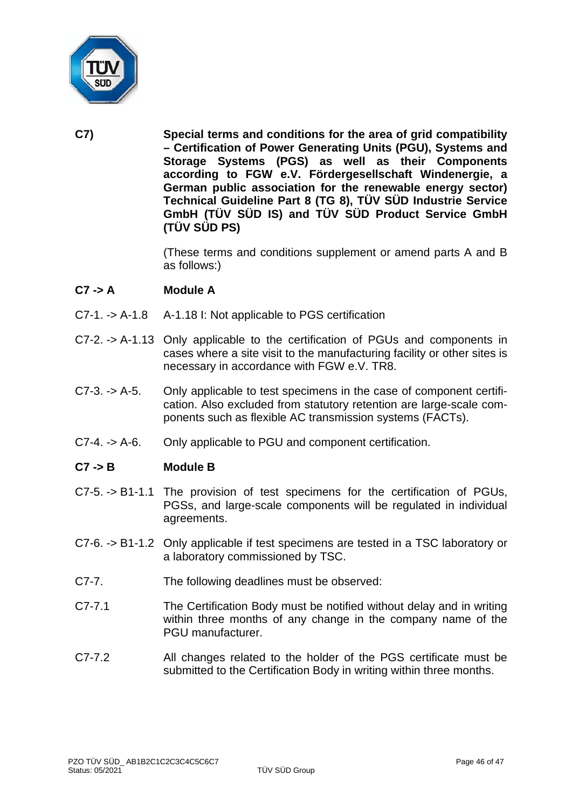

**C7) Special terms and conditions for the area of grid compatibility – Certification of Power Generating Units (PGU), Systems and Storage Systems (PGS) as well as their Components according to FGW e.V. Fördergesellschaft Windenergie, a German public association for the renewable energy sector) Technical Guideline Part 8 (TG 8), TÜV SÜD Industrie Service GmbH (TÜV SÜD IS) and TÜV SÜD Product Service GmbH (TÜV SÜD PS)**

> (These terms and conditions supplement or amend parts A and B as follows:)

## **C7 -> A Module A**

- C7-1. -> A-1.8 A-1.18 I: Not applicable to PGS certification
- C7-2. -> A-1.13 Only applicable to the certification of PGUs and components in cases where a site visit to the manufacturing facility or other sites is necessary in accordance with FGW e.V. TR8.
- C7-3. -> A-5. Only applicable to test specimens in the case of component certification. Also excluded from statutory retention are large-scale components such as flexible AC transmission systems (FACTs).
- C7-4. -> A-6. Only applicable to PGU and component certification.

## **C7 -> B Module B**

- C7-5. -> B1-1.1 The provision of test specimens for the certification of PGUs, PGSs, and large-scale components will be regulated in individual agreements.
- C7-6. -> B1-1.2 Only applicable if test specimens are tested in a TSC laboratory or a laboratory commissioned by TSC.
- C7-7. The following deadlines must be observed:
- C7-7.1 The Certification Body must be notified without delay and in writing within three months of any change in the company name of the PGU manufacturer.
- C7-7.2 All changes related to the holder of the PGS certificate must be submitted to the Certification Body in writing within three months.